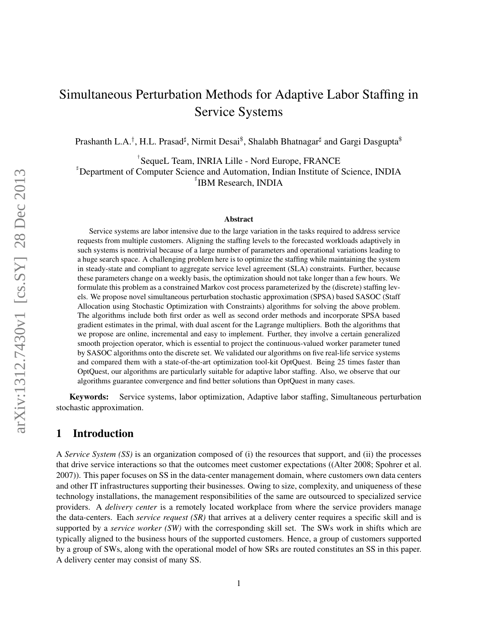# Simultaneous Perturbation Methods for Adaptive Labor Staffing in Service Systems

Prashanth L.A.<sup>†</sup>, H.L. Prasad‡, Nirmit Desai<sup>\$</sup>, Shalabh Bhatnagar‡ and Gargi Dasgupta<sup>\$</sup>

† SequeL Team, INRIA Lille - Nord Europe, FRANCE ♯ Department of Computer Science and Automation, Indian Institute of Science, INDIA ♯ IBM Research, INDIA

#### Abstract

Service systems are labor intensive due to the large variation in the tasks required to address service requests from multiple customers. Aligning the staffing levels to the forecasted workloads adaptively in such systems is nontrivial because of a large number of parameters and operational variations leading to a huge search space. A challenging problem here is to optimize the staffing while maintaining the system in steady-state and compliant to aggregate service level agreement (SLA) constraints. Further, because these parameters change on a weekly basis, the optimization should not take longer than a few hours. We formulate this problem as a constrained Markov cost process parameterized by the (discrete) staffing levels. We propose novel simultaneous perturbation stochastic approximation (SPSA) based SASOC (Staff Allocation using Stochastic Optimization with Constraints) algorithms for solving the above problem. The algorithms include both first order as well as second order methods and incorporate SPSA based gradient estimates in the primal, with dual ascent for the Lagrange multipliers. Both the algorithms that we propose are online, incremental and easy to implement. Further, they involve a certain generalized smooth projection operator, which is essential to project the continuous-valued worker parameter tuned by SASOC algorithms onto the discrete set. We validated our algorithms on five real-life service systems and compared them with a state-of-the-art optimization tool-kit OptQuest. Being 25 times faster than OptQuest, our algorithms are particularly suitable for adaptive labor staffing. Also, we observe that our algorithms guarantee convergence and find better solutions than OptQuest in many cases.

Keywords: Service systems, labor optimization, Adaptive labor staffing, Simultaneous perturbation stochastic approximation.

### 1 Introduction

A *Service System (SS)* is an organization composed of (i) the resources that support, and (ii) the processes that drive service interactions so that the outcomes meet customer expectations ((Alter 2008; Spohrer et al. 2007)). This paper focuses on SS in the data-center management domain, where customers own data centers and other IT infrastructures supporting their businesses. Owing to size, complexity, and uniqueness of these technology installations, the management responsibilities of the same are outsourced to specialized service providers. A *delivery center* is a remotely located workplace from where the service providers manage the data-centers. Each *service request (SR)* that arrives at a delivery center requires a specific skill and is supported by a *service worker (SW)* with the corresponding skill set. The SWs work in shifts which are typically aligned to the business hours of the supported customers. Hence, a group of customers supported by a group of SWs, along with the operational model of how SRs are routed constitutes an SS in this paper. A delivery center may consist of many SS.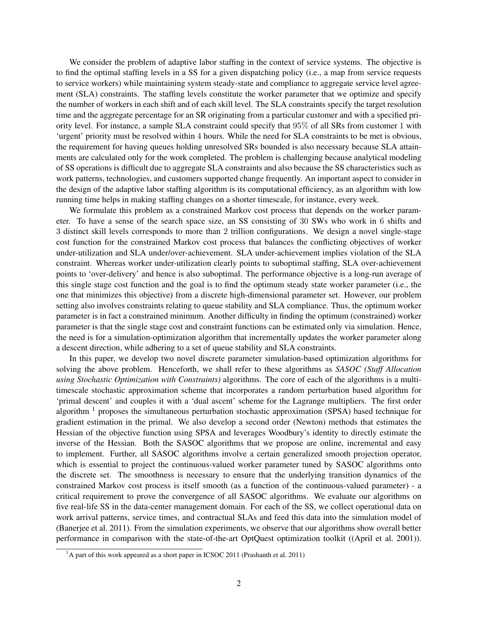We consider the problem of adaptive labor staffing in the context of service systems. The objective is to find the optimal staffing levels in a SS for a given dispatching policy (i.e., a map from service requests to service workers) while maintaining system steady-state and compliance to aggregate service level agreement (SLA) constraints. The staffing levels constitute the worker parameter that we optimize and specify the number of workers in each shift and of each skill level. The SLA constraints specify the target resolution time and the aggregate percentage for an SR originating from a particular customer and with a specified priority level. For instance, a sample SLA constraint could specify that 95% of all SRs from customer 1 with 'urgent' priority must be resolved within 4 hours. While the need for SLA constraints to be met is obvious, the requirement for having queues holding unresolved SRs bounded is also necessary because SLA attainments are calculated only for the work completed. The problem is challenging because analytical modeling of SS operations is difficult due to aggregate SLA constraints and also because the SS characteristics such as work patterns, technologies, and customers supported change frequently. An important aspect to consider in the design of the adaptive labor staffing algorithm is its computational efficiency, as an algorithm with low running time helps in making staffing changes on a shorter timescale, for instance, every week.

We formulate this problem as a constrained Markov cost process that depends on the worker parameter. To have a sense of the search space size, an SS consisting of 30 SWs who work in 6 shifts and 3 distinct skill levels corresponds to more than 2 trillion configurations. We design a novel single-stage cost function for the constrained Markov cost process that balances the conflicting objectives of worker under-utilization and SLA under/over-achievement. SLA under-achievement implies violation of the SLA constraint. Whereas worker under-utilization clearly points to suboptimal staffing, SLA over-achievement points to 'over-delivery' and hence is also suboptimal. The performance objective is a long-run average of this single stage cost function and the goal is to find the optimum steady state worker parameter (i.e., the one that minimizes this objective) from a discrete high-dimensional parameter set. However, our problem setting also involves constraints relating to queue stability and SLA compliance. Thus, the optimum worker parameter is in fact a constrained minimum. Another difficulty in finding the optimum (constrained) worker parameter is that the single stage cost and constraint functions can be estimated only via simulation. Hence, the need is for a simulation-optimization algorithm that incrementally updates the worker parameter along a descent direction, while adhering to a set of queue stability and SLA constraints.

In this paper, we develop two novel discrete parameter simulation-based optimization algorithms for solving the above problem. Henceforth, we shall refer to these algorithms as *SASOC (Staff Allocation using Stochastic Optimization with Constraints)* algorithms. The core of each of the algorithms is a multitimescale stochastic approximation scheme that incorporates a random perturbation based algorithm for 'primal descent' and couples it with a 'dual ascent' scheme for the Lagrange multipliers. The first order algorithm <sup>1</sup> proposes the simultaneous perturbation stochastic approximation (SPSA) based technique for gradient estimation in the primal. We also develop a second order (Newton) methods that estimates the Hessian of the objective function using SPSA and leverages Woodbury's identity to directly estimate the inverse of the Hessian. Both the SASOC algorithms that we propose are online, incremental and easy to implement. Further, all SASOC algorithms involve a certain generalized smooth projection operator, which is essential to project the continuous-valued worker parameter tuned by SASOC algorithms onto the discrete set. The smoothness is necessary to ensure that the underlying transition dynamics of the constrained Markov cost process is itself smooth (as a function of the continuous-valued parameter) - a critical requirement to prove the convergence of all SASOC algorithms. We evaluate our algorithms on five real-life SS in the data-center management domain. For each of the SS, we collect operational data on work arrival patterns, service times, and contractual SLAs and feed this data into the simulation model of (Banerjee et al. 2011). From the simulation experiments, we observe that our algorithms show overall better performance in comparison with the state-of-the-art OptQuest optimization toolkit ((April et al. 2001)).

 $1<sup>1</sup>A$  part of this work appeared as a short paper in ICSOC 2011 (Prashanth et al. 2011)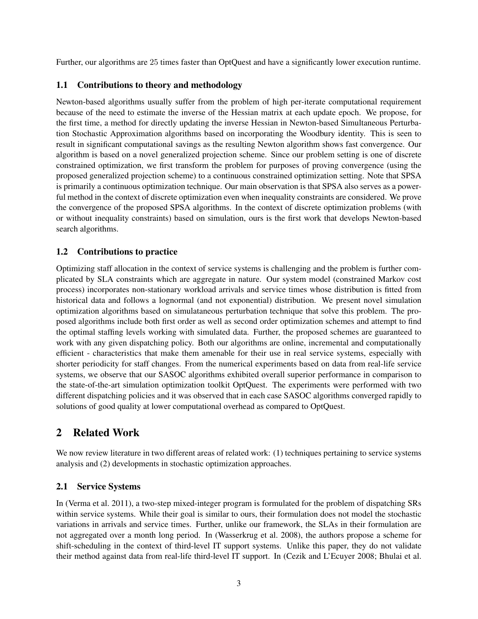Further, our algorithms are 25 times faster than OptQuest and have a significantly lower execution runtime.

### 1.1 Contributions to theory and methodology

Newton-based algorithms usually suffer from the problem of high per-iterate computational requirement because of the need to estimate the inverse of the Hessian matrix at each update epoch. We propose, for the first time, a method for directly updating the inverse Hessian in Newton-based Simultaneous Perturbation Stochastic Approximation algorithms based on incorporating the Woodbury identity. This is seen to result in significant computational savings as the resulting Newton algorithm shows fast convergence. Our algorithm is based on a novel generalized projection scheme. Since our problem setting is one of discrete constrained optimization, we first transform the problem for purposes of proving convergence (using the proposed generalized projection scheme) to a continuous constrained optimization setting. Note that SPSA is primarily a continuous optimization technique. Our main observation is that SPSA also serves as a powerful method in the context of discrete optimization even when inequality constraints are considered. We prove the convergence of the proposed SPSA algorithms. In the context of discrete optimization problems (with or without inequality constraints) based on simulation, ours is the first work that develops Newton-based search algorithms.

### 1.2 Contributions to practice

Optimizing staff allocation in the context of service systems is challenging and the problem is further complicated by SLA constraints which are aggregate in nature. Our system model (constrained Markov cost process) incorporates non-stationary workload arrivals and service times whose distribution is fitted from historical data and follows a lognormal (and not exponential) distribution. We present novel simulation optimization algorithms based on simulataneous perturbation technique that solve this problem. The proposed algorithms include both first order as well as second order optimization schemes and attempt to find the optimal staffing levels working with simulated data. Further, the proposed schemes are guaranteed to work with any given dispatching policy. Both our algorithms are online, incremental and computationally efficient - characteristics that make them amenable for their use in real service systems, especially with shorter periodicity for staff changes. From the numerical experiments based on data from real-life service systems, we observe that our SASOC algorithms exhibited overall superior performance in comparison to the state-of-the-art simulation optimization toolkit OptQuest. The experiments were performed with two different dispatching policies and it was observed that in each case SASOC algorithms converged rapidly to solutions of good quality at lower computational overhead as compared to OptQuest.

# 2 Related Work

We now review literature in two different areas of related work: (1) techniques pertaining to service systems analysis and (2) developments in stochastic optimization approaches.

### 2.1 Service Systems

In (Verma et al. 2011), a two-step mixed-integer program is formulated for the problem of dispatching SRs within service systems. While their goal is similar to ours, their formulation does not model the stochastic variations in arrivals and service times. Further, unlike our framework, the SLAs in their formulation are not aggregated over a month long period. In (Wasserkrug et al. 2008), the authors propose a scheme for shift-scheduling in the context of third-level IT support systems. Unlike this paper, they do not validate their method against data from real-life third-level IT support. In (Cezik and L'Ecuyer 2008; Bhulai et al.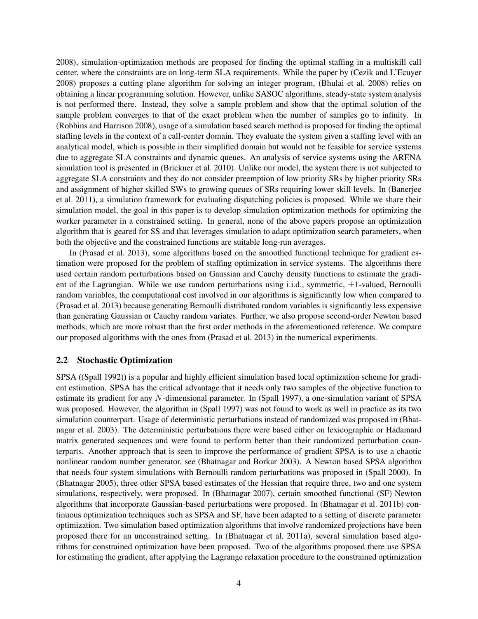2008), simulation-optimization methods are proposed for finding the optimal staffing in a multiskill call center, where the constraints are on long-term SLA requirements. While the paper by (Cezik and L'Ecuyer 2008) proposes a cutting plane algorithm for solving an integer program, (Bhulai et al. 2008) relies on obtaining a linear programming solution. However, unlike SASOC algorithms, steady-state system analysis is not performed there. Instead, they solve a sample problem and show that the optimal solution of the sample problem converges to that of the exact problem when the number of samples go to infinity. In (Robbins and Harrison 2008), usage of a simulation based search method is proposed for finding the optimal staffing levels in the context of a call-center domain. They evaluate the system given a staffing level with an analytical model, which is possible in their simplified domain but would not be feasible for service systems due to aggregate SLA constraints and dynamic queues. An analysis of service systems using the ARENA simulation tool is presented in (Brickner et al. 2010). Unlike our model, the system there is not subjected to aggregate SLA constraints and they do not consider preemption of low priority SRs by higher priority SRs and assignment of higher skilled SWs to growing queues of SRs requiring lower skill levels. In (Banerjee et al. 2011), a simulation framework for evaluating dispatching policies is proposed. While we share their simulation model, the goal in this paper is to develop simulation optimization methods for optimizing the worker parameter in a constrained setting. In general, none of the above papers propose an optimization algorithm that is geared for SS and that leverages simulation to adapt optimization search parameters, when both the objective and the constrained functions are suitable long-run averages.

In (Prasad et al. 2013), some algorithms based on the smoothed functional technique for gradient estimation were proposed for the problem of staffing optimization in service systems. The algorithms there used certain random perturbations based on Gaussian and Cauchy density functions to estimate the gradient of the Lagrangian. While we use random perturbations using i.i.d., symmetric,  $\pm 1$ -valued, Bernoulli random variables, the computational cost involved in our algorithms is significantly low when compared to (Prasad et al. 2013) because generating Bernoulli distributed random variables is significantly less expensive than generating Gaussian or Cauchy random variates. Further, we also propose second-order Newton based methods, which are more robust than the first order methods in the aforementioned reference. We compare our proposed algorithms with the ones from (Prasad et al. 2013) in the numerical experiments.

### 2.2 Stochastic Optimization

SPSA ((Spall 1992)) is a popular and highly efficient simulation based local optimization scheme for gradient estimation. SPSA has the critical advantage that it needs only two samples of the objective function to estimate its gradient for any N-dimensional parameter. In (Spall 1997), a one-simulation variant of SPSA was proposed. However, the algorithm in (Spall 1997) was not found to work as well in practice as its two simulation counterpart. Usage of deterministic perturbations instead of randomized was proposed in (Bhatnagar et al. 2003). The deterministic perturbations there were based either on lexicographic or Hadamard matrix generated sequences and were found to perform better than their randomized perturbation counterparts. Another approach that is seen to improve the performance of gradient SPSA is to use a chaotic nonlinear random number generator, see (Bhatnagar and Borkar 2003). A Newton based SPSA algorithm that needs four system simulations with Bernoulli random perturbations was proposed in (Spall 2000). In (Bhatnagar 2005), three other SPSA based estimates of the Hessian that require three, two and one system simulations, respectively, were proposed. In (Bhatnagar 2007), certain smoothed functional (SF) Newton algorithms that incorporate Gaussian-based perturbations were proposed. In (Bhatnagar et al. 2011b) continuous optimization techniques such as SPSA and SF, have been adapted to a setting of discrete parameter optimization. Two simulation based optimization algorithms that involve randomized projections have been proposed there for an unconstrained setting. In (Bhatnagar et al. 2011a), several simulation based algorithms for constrained optimization have been proposed. Two of the algorithms proposed there use SPSA for estimating the gradient, after applying the Lagrange relaxation procedure to the constrained optimization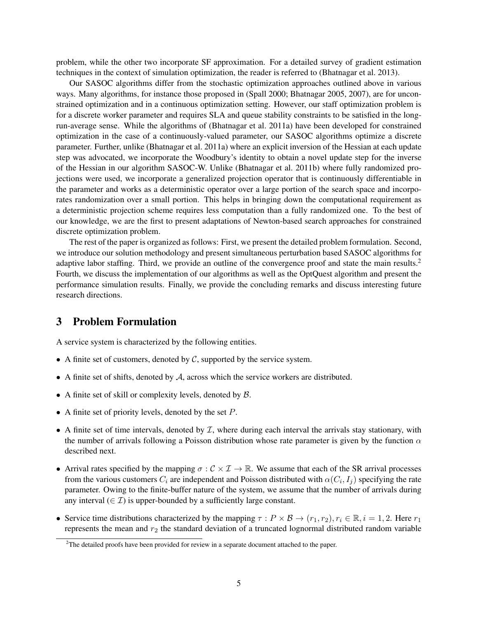problem, while the other two incorporate SF approximation. For a detailed survey of gradient estimation techniques in the context of simulation optimization, the reader is referred to (Bhatnagar et al. 2013).

Our SASOC algorithms differ from the stochastic optimization approaches outlined above in various ways. Many algorithms, for instance those proposed in (Spall 2000; Bhatnagar 2005, 2007), are for unconstrained optimization and in a continuous optimization setting. However, our staff optimization problem is for a discrete worker parameter and requires SLA and queue stability constraints to be satisfied in the longrun-average sense. While the algorithms of (Bhatnagar et al. 2011a) have been developed for constrained optimization in the case of a continuously-valued parameter, our SASOC algorithms optimize a discrete parameter. Further, unlike (Bhatnagar et al. 2011a) where an explicit inversion of the Hessian at each update step was advocated, we incorporate the Woodbury's identity to obtain a novel update step for the inverse of the Hessian in our algorithm SASOC-W. Unlike (Bhatnagar et al. 2011b) where fully randomized projections were used, we incorporate a generalized projection operator that is continuously differentiable in the parameter and works as a deterministic operator over a large portion of the search space and incorporates randomization over a small portion. This helps in bringing down the computational requirement as a deterministic projection scheme requires less computation than a fully randomized one. To the best of our knowledge, we are the first to present adaptations of Newton-based search approaches for constrained discrete optimization problem.

The rest of the paper is organized as follows: First, we present the detailed problem formulation. Second, we introduce our solution methodology and present simultaneous perturbation based SASOC algorithms for adaptive labor staffing. Third, we provide an outline of the convergence proof and state the main results.<sup>2</sup> Fourth, we discuss the implementation of our algorithms as well as the OptQuest algorithm and present the performance simulation results. Finally, we provide the concluding remarks and discuss interesting future research directions.

### 3 Problem Formulation

A service system is characterized by the following entities.

- A finite set of customers, denoted by  $C$ , supported by the service system.
- A finite set of shifts, denoted by  $A$ , across which the service workers are distributed.
- A finite set of skill or complexity levels, denoted by  $\beta$ .
- A finite set of priority levels, denoted by the set  $P$ .
- A finite set of time intervals, denoted by  $\mathcal{I}$ , where during each interval the arrivals stay stationary, with the number of arrivals following a Poisson distribution whose rate parameter is given by the function  $\alpha$ described next.
- Arrival rates specified by the mapping  $\sigma : \mathcal{C} \times \mathcal{I} \to \mathbb{R}$ . We assume that each of the SR arrival processes from the various customers  $C_i$  are independent and Poisson distributed with  $\alpha(C_i, I_j)$  specifying the rate parameter. Owing to the finite-buffer nature of the system, we assume that the number of arrivals during any interval ( $\in \mathcal{I}$ ) is upper-bounded by a sufficiently large constant.
- Service time distributions characterized by the mapping  $\tau : P \times B \to (r_1, r_2), r_i \in \mathbb{R}, i = 1, 2$ . Here  $r_1$ represents the mean and  $r_2$  the standard deviation of a truncated lognormal distributed random variable

 $2$ The detailed proofs have been provided for review in a separate document attached to the paper.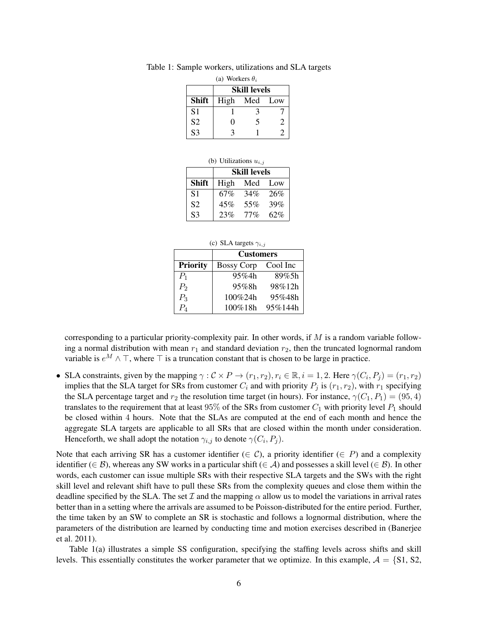| (a) Workers $\theta_i$ |                     |              |                       |
|------------------------|---------------------|--------------|-----------------------|
|                        | <b>Skill levels</b> |              |                       |
| <b>Shift</b>           |                     | High Med Low |                       |
| S <sub>1</sub>         |                     | 14           |                       |
| S <sub>2</sub>         | 0                   | 5            | $\mathcal{D}_{\cdot}$ |
| $\frac{1}{53}$         |                     |              | 2                     |

Table 1: Sample workers, utilizations and SLA targets

|  | (b) Utilizations $u_{i,j}$ |  |
|--|----------------------------|--|
|--|----------------------------|--|

|                | Skill levels |        |     |
|----------------|--------------|--------|-----|
| <b>Shift</b>   | High         | Med    | Low |
| S <sub>1</sub> | 67%          | 34%    | 26% |
| <b>S2</b>      | 45%          | 55%    | 39% |
| S <sub>3</sub> | 23%          | $77\%$ | 62% |

|  |  | (c) SLA targets $\gamma_{i,j}$ |  |
|--|--|--------------------------------|--|
|--|--|--------------------------------|--|

|                 | <b>Customers</b>  |          |  |
|-----------------|-------------------|----------|--|
| <b>Priority</b> | <b>Bossy Corp</b> | Cool Inc |  |
| $P_1$           | 95%4h             | 89%5h    |  |
| P <sub>2</sub>  | 95%8h             | 98%12h   |  |
| $P_3$           | 100%24h           | 95%48h   |  |
| $P_{4}$         | 100%18h           | 95%144h  |  |

corresponding to a particular priority-complexity pair. In other words, if  $M$  is a random variable following a normal distribution with mean  $r_1$  and standard deviation  $r_2$ , then the truncated lognormal random variable is  $e^M \wedge \top$ , where  $\top$  is a truncation constant that is chosen to be large in practice.

• SLA constraints, given by the mapping  $\gamma : \mathcal{C} \times P \to (r_1, r_2), r_i \in \mathbb{R}, i = 1, 2$ . Here  $\gamma(C_i, P_j) = (r_1, r_2)$ implies that the SLA target for SRs from customer  $C_i$  and with priority  $P_i$  is  $(r_1, r_2)$ , with  $r_1$  specifying the SLA percentage target and  $r_2$  the resolution time target (in hours). For instance,  $\gamma(C_1, P_1) = (95, 4)$ translates to the requirement that at least 95% of the SRs from customer  $C_1$  with priority level  $P_1$  should be closed within 4 hours. Note that the SLAs are computed at the end of each month and hence the aggregate SLA targets are applicable to all SRs that are closed within the month under consideration. Henceforth, we shall adopt the notation  $\gamma_{i,j}$  to denote  $\gamma(C_i, P_j)$ .

Note that each arriving SR has a customer identifier ( $\in \mathcal{C}$ ), a priority identifier ( $\in P$ ) and a complexity identifier ( $\in \mathcal{B}$ ), whereas any SW works in a particular shift ( $\in \mathcal{A}$ ) and possesses a skill level ( $\in \mathcal{B}$ ). In other words, each customer can issue multiple SRs with their respective SLA targets and the SWs with the right skill level and relevant shift have to pull these SRs from the complexity queues and close them within the deadline specified by the SLA. The set  $\mathcal I$  and the mapping  $\alpha$  allow us to model the variations in arrival rates better than in a setting where the arrivals are assumed to be Poisson-distributed for the entire period. Further, the time taken by an SW to complete an SR is stochastic and follows a lognormal distribution, where the parameters of the distribution are learned by conducting time and motion exercises described in (Banerjee et al. 2011).

Table 1(a) illustrates a simple SS configuration, specifying the staffing levels across shifts and skill levels. This essentially constitutes the worker parameter that we optimize. In this example,  $A = \{S1, S2,$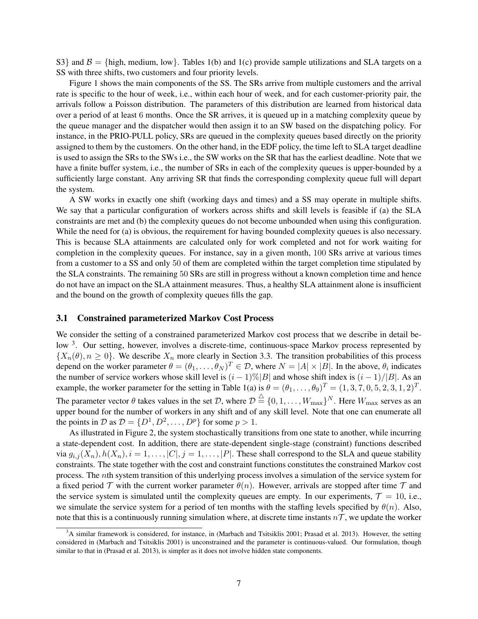S3} and  $\beta$  = {high, medium, low}. Tables 1(b) and 1(c) provide sample utilizations and SLA targets on a SS with three shifts, two customers and four priority levels.

Figure 1 shows the main components of the SS. The SRs arrive from multiple customers and the arrival rate is specific to the hour of week, i.e., within each hour of week, and for each customer-priority pair, the arrivals follow a Poisson distribution. The parameters of this distribution are learned from historical data over a period of at least 6 months. Once the SR arrives, it is queued up in a matching complexity queue by the queue manager and the dispatcher would then assign it to an SW based on the dispatching policy. For instance, in the PRIO-PULL policy, SRs are queued in the complexity queues based directly on the priority assigned to them by the customers. On the other hand, in the EDF policy, the time left to SLA target deadline is used to assign the SRs to the SWs i.e., the SW works on the SR that has the earliest deadline. Note that we have a finite buffer system, i.e., the number of SRs in each of the complexity queues is upper-bounded by a sufficiently large constant. Any arriving SR that finds the corresponding complexity queue full will depart the system.

A SW works in exactly one shift (working days and times) and a SS may operate in multiple shifts. We say that a particular configuration of workers across shifts and skill levels is feasible if (a) the SLA constraints are met and (b) the complexity queues do not become unbounded when using this configuration. While the need for (a) is obvious, the requirement for having bounded complexity queues is also necessary. This is because SLA attainments are calculated only for work completed and not for work waiting for completion in the complexity queues. For instance, say in a given month, 100 SRs arrive at various times from a customer to a SS and only 50 of them are completed within the target completion time stipulated by the SLA constraints. The remaining 50 SRs are still in progress without a known completion time and hence do not have an impact on the SLA attainment measures. Thus, a healthy SLA attainment alone is insufficient and the bound on the growth of complexity queues fills the gap.

### 3.1 Constrained parameterized Markov Cost Process

We consider the setting of a constrained parameterized Markov cost process that we describe in detail below <sup>3</sup>. Our setting, however, involves a discrete-time, continuous-space Markov process represented by  ${X_n(\theta), n \geq 0}$ . We describe  $X_n$  more clearly in Section 3.3. The transition probabilities of this process depend on the worker parameter  $\theta = (\theta_1, \dots, \theta_N)^T \in \mathcal{D}$ , where  $N = |A| \times |B|$ . In the above,  $\theta_i$  indicates the number of service workers whose skill level is  $(i - 1)\%|B|$  and whose shift index is  $(i - 1)/|B|$ . As an example, the worker parameter for the setting in Table 1(a) is  $\theta = (\theta_1, \dots, \theta_9)^T = (1, 3, 7, 0, 5, 2, 3, 1, 2)^T$ . The parameter vector  $\theta$  takes values in the set  $\mathcal{D}$ , where  $\mathcal{D} \stackrel{\triangle}{=} \{0,1,\ldots,W_{\max}\}^N$ . Here  $W_{\max}$  serves as an upper bound for the number of workers in any shift and of any skill level. Note that one can enumerate all the points in D as  $D = \{D^1, D^2, \dots, D^p\}$  for some  $p > 1$ .

As illustrated in Figure 2, the system stochastically transitions from one state to another, while incurring a state-dependent cost. In addition, there are state-dependent single-stage (constraint) functions described via  $g_{i,j}(X_n)$ ,  $h(X_n)$ ,  $i = 1, \ldots, |C|$ ,  $j = 1, \ldots, |P|$ . These shall correspond to the SLA and queue stability constraints. The state together with the cost and constraint functions constitutes the constrained Markov cost process. The nth system transition of this underlying process involves a simulation of the service system for a fixed period  $\mathcal T$  with the current worker parameter  $\theta(n)$ . However, arrivals are stopped after time  $\mathcal T$  and the service system is simulated until the complexity queues are empty. In our experiments,  $\mathcal{T} = 10$ , i.e., we simulate the service system for a period of ten months with the staffing levels specified by  $\theta(n)$ . Also, note that this is a continuously running simulation where, at discrete time instants  $n\mathcal{T}$ , we update the worker

 $3A$  similar framework is considered, for instance, in (Marbach and Tsitsiklis 2001; Prasad et al. 2013). However, the setting considered in (Marbach and Tsitsiklis 2001) is unconstrained and the parameter is continuous-valued. Our formulation, though similar to that in (Prasad et al. 2013), is simpler as it does not involve hidden state components.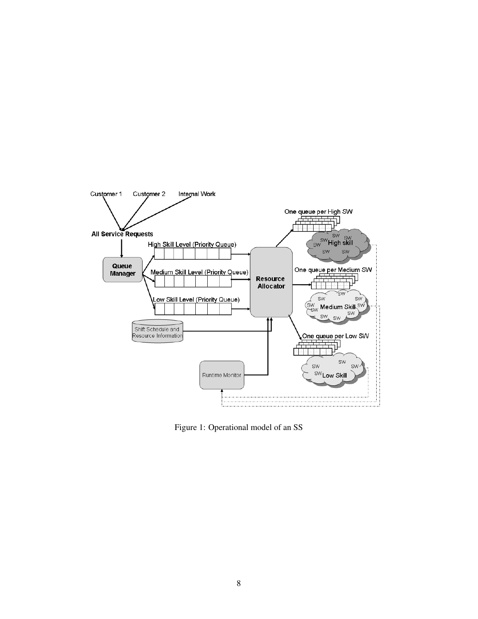

Figure 1: Operational model of an SS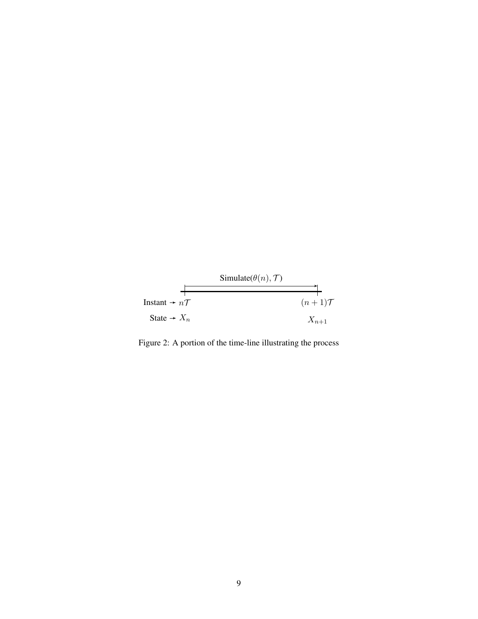

Figure 2: A portion of the time-line illustrating the process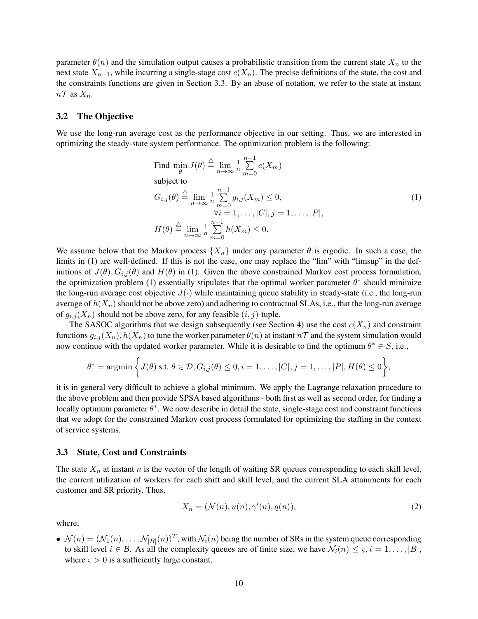parameter  $\theta(n)$  and the simulation output causes a probabilistic transition from the current state  $X_n$  to the next state  $X_{n+1}$ , while incurring a single-stage cost  $c(X_n)$ . The precise definitions of the state, the cost and the constraints functions are given in Section 3.3. By an abuse of notation, we refer to the state at instant  $n\mathcal{T}$  as  $X_n$ .

### 3.2 The Objective

We use the long-run average cost as the performance objective in our setting. Thus, we are interested in optimizing the steady-state system performance. The optimization problem is the following:

Find 
$$
\min_{\theta} J(\theta) \stackrel{\triangle}{=} \lim_{n \to \infty} \frac{1}{n} \sum_{m=0}^{n-1} c(X_m)
$$
  
\nsubject to  
\n
$$
G_{i,j}(\theta) \stackrel{\triangle}{=} \lim_{n \to \infty} \frac{1}{n} \sum_{m=0}^{n-1} g_{i,j}(X_m) \le 0,
$$
  
\n
$$
\forall i = 1, ..., |C|, j = 1, ..., |P|,
$$
  
\n
$$
H(\theta) \stackrel{\triangle}{=} \lim_{n \to \infty} \frac{1}{n} \sum_{m=0}^{n-1} h(X_m) \le 0.
$$
\n(1)

We assume below that the Markov process  $\{X_n\}$  under any parameter  $\theta$  is ergodic. In such a case, the limits in (1) are well-defined. If this is not the case, one may replace the "lim" with "limsup" in the definitions of  $J(\theta)$ ,  $G_{i,j}(\theta)$  and  $H(\theta)$  in (1). Given the above constrained Markov cost process formulation, the optimization problem (1) essentially stipulates that the optimal worker parameter  $\theta^*$  should minimize the long-run average cost objective  $J(\cdot)$  while maintaining queue stability in steady-state (i.e., the long-run average of  $h(X_n)$  should not be above zero) and adhering to contractual SLAs, i.e., that the long-run average of  $g_{i,j}(X_n)$  should not be above zero, for any feasible  $(i, j)$ -tuple.

The SASOC algorithms that we design subsequently (see Section 4) use the cost  $c(X_n)$  and constraint functions  $g_{i,j}(X_n)$ ,  $h(X_n)$  to tune the worker parameter  $\theta(n)$  at instant  $n\mathcal{T}$  and the system simulation would now continue with the updated worker parameter. While it is desirable to find the optimum  $\theta^* \in S$ , i.e.,

$$
\theta^* = \operatorname{argmin}\left\{J(\theta) \text{ s.t. } \theta \in \mathcal{D}, G_{i,j}(\theta) \leq 0, i = 1,\ldots, |C|, j = 1,\ldots, |P|, H(\theta) \leq 0\right\},\right\}
$$

it is in general very difficult to achieve a global minimum. We apply the Lagrange relaxation procedure to the above problem and then provide SPSA based algorithms - both first as well as second order, for finding a locally optimum parameter  $\theta^*$ . We now describe in detail the state, single-stage cost and constraint functions that we adopt for the constrained Markov cost process formulated for optimizing the staffing in the context of service systems.

#### 3.3 State, Cost and Constraints

The state  $X_n$  at instant n is the vector of the length of waiting SR queues corresponding to each skill level, the current utilization of workers for each shift and skill level, and the current SLA attainments for each customer and SR priority. Thus,

$$
X_n = (\mathcal{N}(n), u(n), \gamma'(n), q(n)),\tag{2}
$$

where,

 $\bullet\ \mathcal{N}(n) = (\mathcal{N}_1(n), \dots, \mathcal{N}_{|B|}(n))^T$ , with  $\mathcal{N}_i(n)$  being the number of SRs in the system queue corresponding to skill level  $i \in \mathcal{B}$ . As all the complexity queues are of finite size, we have  $\mathcal{N}_i(n) \leq \varsigma, i = 1, \ldots, |B|$ , where  $\varsigma > 0$  is a sufficiently large constant.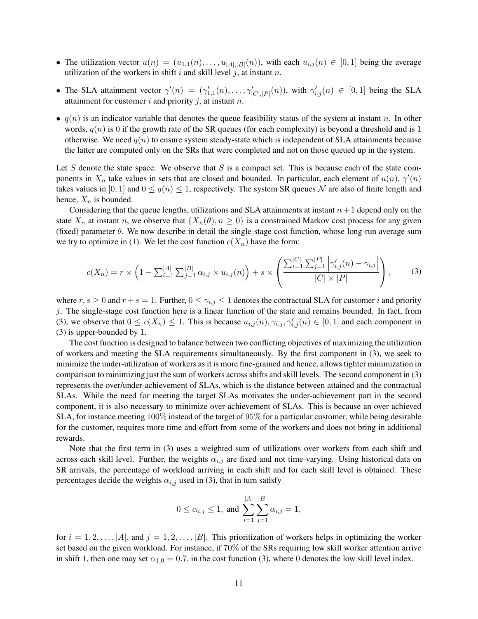- The utilization vector  $u(n) = (u_{1,1}(n), \ldots, u_{|A|,|B|}(n))$ , with each  $u_{i,j}(n) \in [0,1]$  being the average utilization of the workers in shift i and skill level j, at instant n.
- The SLA attainment vector  $\gamma'(n) = (\gamma'_{1,1}(n), \ldots, \gamma'_{|C|,|P|}(n)),$  with  $\gamma'_{i,j}(n) \in [0,1]$  being the SLA attainment for customer i and priority j, at instant n.
- $q(n)$  is an indicator variable that denotes the queue feasibility status of the system at instant n. In other words,  $q(n)$  is 0 if the growth rate of the SR queues (for each complexity) is beyond a threshold and is 1 otherwise. We need  $q(n)$  to ensure system steady-state which is independent of SLA attainments because the latter are computed only on the SRs that were completed and not on those queued up in the system.

Let S denote the state space. We observe that S is a compact set. This is because each of the state components in  $X_n$  take values in sets that are closed and bounded. In particular, each element of  $u(n)$ ,  $\gamma'(n)$ takes values in [0, 1] and  $0 \le q(n) \le 1$ , respectively. The system SR queues N are also of finite length and hence,  $X_n$  is bounded.

Considering that the queue lengths, utilizations and SLA attainments at instant  $n+1$  depend only on the state  $X_n$  at instant n, we observe that  $\{X_n(\theta), n \geq 0\}$  is a constrained Markov cost process for any given (fixed) parameter  $\theta$ . We now describe in detail the single-stage cost function, whose long-run average sum we try to optimize in (1). We let the cost function  $c(X_n)$  have the form:

$$
c(X_n) = r \times \left(1 - \sum_{i=1}^{|A|} \sum_{j=1}^{|B|} \alpha_{i,j} \times u_{i,j}(n)\right) + s \times \left(\frac{\sum_{i=1}^{|C|} \sum_{j=1}^{|P|} \left|\gamma'_{i,j}(n) - \gamma_{i,j}\right|}{|C| \times |P|}\right),\tag{3}
$$

where  $r, s \ge 0$  and  $r + s = 1$ . Further,  $0 \le \gamma_{i,j} \le 1$  denotes the contractual SLA for customer i and priority  $j$ . The single-stage cost function here is a linear function of the state and remains bounded. In fact, from (3), we observe that  $0 \le c(X_n) \le 1$ . This is because  $u_{i,j}(n), \gamma_{i,j}, \gamma'_{i,j}(n) \in [0,1]$  and each component in (3) is upper-bounded by 1.

The cost function is designed to balance between two conflicting objectives of maximizing the utilization of workers and meeting the SLA requirements simultaneously. By the first component in (3), we seek to minimize the under-utilization of workers as it is more fine-grained and hence, allows tighter minimization in comparison to minimizing just the sum of workers across shifts and skill levels. The second component in (3) represents the over/under-achievement of SLAs, which is the distance between attained and the contractual SLAs. While the need for meeting the target SLAs motivates the under-achievement part in the second component, it is also necessary to minimize over-achievement of SLAs. This is because an over-achieved SLA, for instance meeting 100% instead of the target of 95% for a particular customer, while being desirable for the customer, requires more time and effort from some of the workers and does not bring in additional rewards.

Note that the first term in (3) uses a weighted sum of utilizations over workers from each shift and across each skill level. Further, the weights  $\alpha_{i,j}$  are fixed and not time-varying. Using historical data on SR arrivals, the percentage of workload arriving in each shift and for each skill level is obtained. These percentages decide the weights  $\alpha_{i,j}$  used in (3), that in turn satisfy

$$
0 \le \alpha_{i,j} \le 1
$$
, and 
$$
\sum_{i=1}^{|A|} \sum_{j=1}^{|B|} \alpha_{i,j} = 1
$$
,

for  $i = 1, 2, \ldots, |A|$ , and  $j = 1, 2, \ldots, |B|$ . This prioritization of workers helps in optimizing the worker set based on the given workload. For instance, if 70% of the SRs requiring low skill worker attention arrive in shift 1, then one may set  $\alpha_{1,0} = 0.7$ , in the cost function (3), where 0 denotes the low skill level index.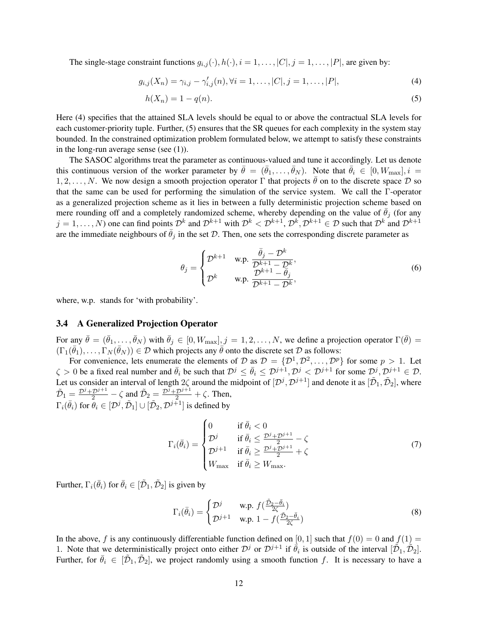The single-stage constraint functions  $g_{i,j}(\cdot), h(\cdot), i = 1, \ldots, |C|, j = 1, \ldots, |P|$ , are given by:

$$
g_{i,j}(X_n) = \gamma_{i,j} - \gamma'_{i,j}(n), \forall i = 1, ..., |C|, j = 1, ..., |P|,
$$
\n(4)

$$
h(X_n) = 1 - q(n). \tag{5}
$$

Here (4) specifies that the attained SLA levels should be equal to or above the contractual SLA levels for each customer-priority tuple. Further, (5) ensures that the SR queues for each complexity in the system stay bounded. In the constrained optimization problem formulated below, we attempt to satisfy these constraints in the long-run average sense (see (1)).

The SASOC algorithms treat the parameter as continuous-valued and tune it accordingly. Let us denote this continuous version of the worker parameter by  $\bar{\theta} = (\bar{\theta}_1, \dots, \bar{\theta}_N)$ . Note that  $\bar{\theta}_i \in [0, W_{\text{max}}], i =$ 1, 2, . . . , N. We now design a smooth projection operator  $\Gamma$  that projects  $\bar{\theta}$  on to the discrete space  $\mathcal D$  so that the same can be used for performing the simulation of the service system. We call the Γ-operator as a generalized projection scheme as it lies in between a fully deterministic projection scheme based on mere rounding off and a completely randomized scheme, whereby depending on the value of  $\theta_i$  (for any  $j = 1, \ldots, N$ ) one can find points  $\mathcal{D}^k$  and  $\mathcal{D}^{k+1}$  with  $\mathcal{D}^k < \mathcal{D}^{k+1}, \mathcal{D}^k, \mathcal{D}^{k+1} \in \mathcal{D}$  such that  $\mathcal{D}^k$  and  $\mathcal{D}^{k+1}$ are the immediate neighbours of  $\bar{\theta}_i$  in the set D. Then, one sets the corresponding discrete parameter as

$$
\theta_j = \begin{cases} \mathcal{D}^{k+1} & \text{w.p.} \ \frac{\bar{\theta}_j - \mathcal{D}^k}{\mathcal{D}^{k+1} - \mathcal{D}^k}, \\ \mathcal{D}^k & \text{w.p.} \ \frac{\mathcal{D}^{k+1} - \bar{\theta}_j}{\mathcal{D}^{k+1} - \mathcal{D}^k}, \end{cases} \tag{6}
$$

where, w.p. stands for 'with probability'.

#### 3.4 A Generalized Projection Operator

For any  $\bar{\theta} = (\bar{\theta}_1, \dots, \bar{\theta}_N)$  with  $\bar{\theta}_j \in [0, W_{\text{max}}], j = 1, 2, \dots, N$ , we define a projection operator  $\Gamma(\bar{\theta}) =$  $(\Gamma_1(\bar{\theta}_1), \ldots, \Gamma_N(\bar{\theta}_N)) \in \mathcal{D}$  which projects any  $\bar{\theta}$  onto the discrete set  $\mathcal D$  as follows:

For convenience, lets enumerate the elements of D as  $\mathcal{D} = \{D^1, D^2, \dots, D^p\}$  for some  $p > 1$ . Let  $\zeta > 0$  be a fixed real number and  $\bar{\theta}_i$  be such that  $\mathcal{D}^j \leq \bar{\theta}_i \leq \mathcal{D}^{j+1}, \mathcal{D}^j < \mathcal{D}^{j+1}$  for some  $\mathcal{D}^j, \mathcal{D}^{j+1} \in \mathcal{D}$ . Let us consider an interval of length  $2\zeta$  around the midpoint of  $[D^j, D^{j+1}]$  and denote it as  $[\tilde{D}_1, \tilde{D}_2]$ , where  $\tilde{\mathcal{D}}_1 = \frac{\mathcal{D}^j + \mathcal{D}^{j+1}}{2} - \zeta$  and  $\tilde{\mathcal{D}}_2 = \frac{\mathcal{D}^j + \mathcal{D}^{j+1}}{2} + \zeta$ . Then,  $\Gamma_i(\bar{\theta}_i)$  for  $\bar{\theta}_i \in [\mathcal{D}^j, \tilde{\mathcal{D}}_1] \cup [\tilde{\mathcal{D}}_2, \mathcal{D}^{j+1}]$  is defined by

$$
\Gamma_i(\bar{\theta}_i) = \begin{cases}\n0 & \text{if } \bar{\theta}_i < 0 \\
\mathcal{D}^j & \text{if } \bar{\theta}_i \le \frac{\mathcal{D}^j + \mathcal{D}^{j+1}}{2} - \zeta \\
\mathcal{D}^{j+1} & \text{if } \bar{\theta}_i \ge \frac{\mathcal{D}^j + \mathcal{D}^{j+1}}{2} + \zeta \\
W_{\text{max}} & \text{if } \bar{\theta}_i \ge W_{\text{max}}.\n\end{cases}
$$
\n(7)

Further,  $\Gamma_i(\bar{\theta}_i)$  for  $\bar{\theta}_i \in [\tilde{\mathcal{D}}_1, \tilde{\mathcal{D}}_2]$  is given by

$$
\Gamma_i(\bar{\theta}_i) = \begin{cases} \mathcal{D}^j & \text{w.p. } f(\frac{\tilde{\mathcal{D}}_2 - \bar{\theta}_i}{2\zeta}) \\ \mathcal{D}^{j+1} & \text{w.p. } 1 - f(\frac{\tilde{\mathcal{D}}_2 - \bar{\theta}_i}{2\zeta}) \end{cases}
$$
(8)

In the above, f is any continuously differentiable function defined on [0, 1] such that  $f(0) = 0$  and  $f(1) =$ 1. Note that we deterministically project onto either  $\mathcal{D}^j$  or  $\mathcal{D}^{j+1}$  if  $\bar{\theta}_i$  is outside of the interval  $[\tilde{\mathcal{D}}_1, \tilde{\mathcal{D}}_2]$ . Further, for  $\bar{\theta}_i \in [\tilde{\mathcal{D}}_1, \tilde{\mathcal{D}}_2]$ , we project randomly using a smooth function f. It is necessary to have a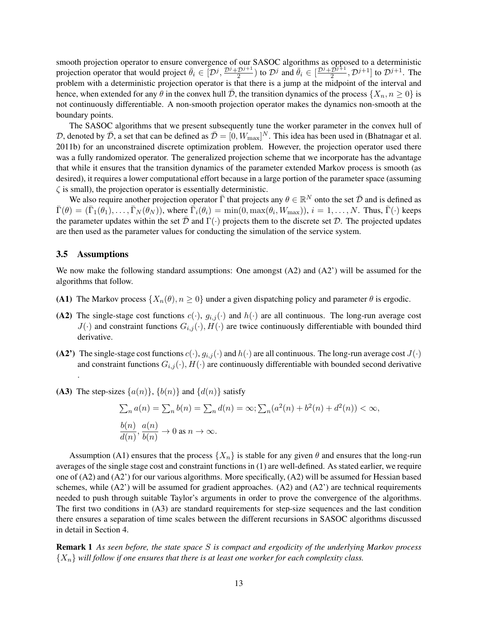smooth projection operator to ensure convergence of our SASOC algorithms as opposed to a deterministic projection operator that would project  $\bar{\theta}_i \in [D^j, \frac{D^j + D^{j+1}}{2}]$  $\frac{2^{j+1}}{2}$ ) to  $\mathcal{D}^j$  and  $\bar{\theta}_i \in \left[\frac{\mathcal{D}^j + \mathcal{D}^{j+1}}{2}\right]$  $\left[\frac{\mathcal{D}^{j+1}}{2}, \mathcal{D}^{j+1}\right]$  to  $\mathcal{D}^{j+1}$ . The problem with a deterministic projection operator is that there is a jump at the midpoint of the interval and hence, when extended for any  $\theta$  in the convex hull  $\bar{\mathcal{D}}$ , the transition dynamics of the process  $\{X_n, n \geq 0\}$  is not continuously differentiable. A non-smooth projection operator makes the dynamics non-smooth at the boundary points.

The SASOC algorithms that we present subsequently tune the worker parameter in the convex hull of D, denoted by  $\bar{\mathcal{D}}$ , a set that can be defined as  $\bar{\mathcal{D}} = [0, W_{\max}]^N$ . This idea has been used in (Bhatnagar et al. 2011b) for an unconstrained discrete optimization problem. However, the projection operator used there was a fully randomized operator. The generalized projection scheme that we incorporate has the advantage that while it ensures that the transition dynamics of the parameter extended Markov process is smooth (as desired), it requires a lower computational effort because in a large portion of the parameter space (assuming  $\zeta$  is small), the projection operator is essentially deterministic.

We also require another projection operator  $\bar{\Gamma}$  that projects any  $\theta \in \mathbb{R}^N$  onto the set  $\bar{\mathcal{D}}$  and is defined as  $\bar{\Gamma}(\theta) = (\bar{\Gamma}_1(\theta_1), \dots, \bar{\Gamma}_N(\theta_N))$ , where  $\bar{\Gamma}_i(\theta_i) = \min(0, \max(\theta_i, W_{\max}))$ ,  $i = 1, \dots, N$ . Thus,  $\bar{\Gamma}(\cdot)$  keeps the parameter updates within the set  $\bar{\mathcal{D}}$  and  $\Gamma(\cdot)$  projects them to the discrete set  $\mathcal{D}$ . The projected updates are then used as the parameter values for conducting the simulation of the service system.

#### 3.5 Assumptions

We now make the following standard assumptions: One amongst (A2) and (A2') will be assumed for the algorithms that follow.

- (A1) The Markov process  $\{X_n(\theta), n \geq 0\}$  under a given dispatching policy and parameter  $\theta$  is ergodic.
- (A2) The single-stage cost functions  $c(\cdot)$ ,  $g_{i,j}(\cdot)$  and  $h(\cdot)$  are all continuous. The long-run average cost  $J(\cdot)$  and constraint functions  $G_{i,j}(\cdot), H(\cdot)$  are twice continuously differentiable with bounded third derivative.
- (A2') The single-stage cost functions  $c(\cdot)$ ,  $g_{i,j}(\cdot)$  and  $h(\cdot)$  are all continuous. The long-run average cost  $J(\cdot)$ and constraint functions  $G_{i,j}(\cdot), H(\cdot)$  are continuously differentiable with bounded second derivative .

(A3) The step-sizes  $\{a(n)\}\text{, }\{b(n)\}\text{ and }\{d(n)\}\text{ satisfy}$ 

$$
\sum_{n} a(n) = \sum_{n} b(n) = \sum_{n} d(n) = \infty; \sum_{n} (a^{2}(n) + b^{2}(n) + d^{2}(n)) < \infty,
$$
  

$$
\frac{b(n)}{d(n)}, \frac{a(n)}{b(n)} \to 0 \text{ as } n \to \infty.
$$

Assumption (A1) ensures that the process  $\{X_n\}$  is stable for any given  $\theta$  and ensures that the long-run averages of the single stage cost and constraint functions in (1) are well-defined. As stated earlier, we require one of (A2) and (A2') for our various algorithms. More specifically, (A2) will be assumed for Hessian based schemes, while  $(A2')$  will be assumed for gradient approaches.  $(A2)$  and  $(A2')$  are technical requirements needed to push through suitable Taylor's arguments in order to prove the convergence of the algorithms. The first two conditions in (A3) are standard requirements for step-size sequences and the last condition there ensures a separation of time scales between the different recursions in SASOC algorithms discussed in detail in Section 4.

Remark 1 *As seen before, the state space* S *is compact and ergodicity of the underlying Markov process*  ${X_n}$  *will follow if one ensures that there is at least one worker for each complexity class.*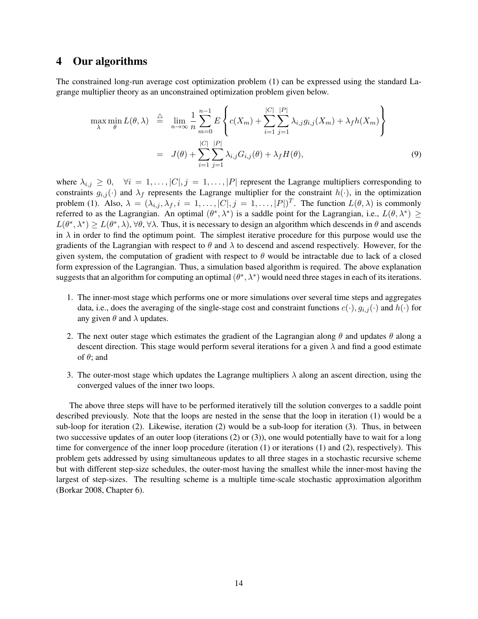### 4 Our algorithms

The constrained long-run average cost optimization problem (1) can be expressed using the standard Lagrange multiplier theory as an unconstrained optimization problem given below.

$$
\max_{\lambda} \min_{\theta} L(\theta, \lambda) \stackrel{\triangle}{=} \lim_{n \to \infty} \frac{1}{n} \sum_{m=0}^{n-1} E \left\{ c(X_m) + \sum_{i=1}^{|C|} \sum_{j=1}^{|P|} \lambda_{i,j} g_{i,j}(X_m) + \lambda_f h(X_m) \right\}
$$

$$
= J(\theta) + \sum_{i=1}^{|C|} \sum_{j=1}^{|P|} \lambda_{i,j} G_{i,j}(\theta) + \lambda_f H(\theta), \tag{9}
$$

where  $\lambda_{i,j} \geq 0$ ,  $\forall i = 1, \ldots, |C|, j = 1, \ldots, |P|$  represent the Lagrange multipliers corresponding to constraints  $g_{i,j}(\cdot)$  and  $\lambda_f$  represents the Lagrange multiplier for the constraint  $h(\cdot)$ , in the optimization problem (1). Also,  $\lambda = (\lambda_{i,j}, \lambda_f, i = 1, \dots, |C|, j = 1, \dots, |P|)^T$ . The function  $L(\theta, \lambda)$  is commonly referred to as the Lagrangian. An optimal  $(\theta^*, \lambda^*)$  is a saddle point for the Lagrangian, i.e.,  $L(\theta, \lambda^*) \geq$  $L(\theta^*, \lambda^*) \ge L(\theta^*, \lambda), \forall \theta, \forall \lambda$ . Thus, it is necessary to design an algorithm which descends in  $\theta$  and ascends in  $\lambda$  in order to find the optimum point. The simplest iterative procedure for this purpose would use the gradients of the Lagrangian with respect to  $\theta$  and  $\lambda$  to descend and ascend respectively. However, for the given system, the computation of gradient with respect to  $\theta$  would be intractable due to lack of a closed form expression of the Lagrangian. Thus, a simulation based algorithm is required. The above explanation suggests that an algorithm for computing an optimal  $(\theta^*, \lambda^*)$  would need three stages in each of its iterations.

- 1. The inner-most stage which performs one or more simulations over several time steps and aggregates data, i.e., does the averaging of the single-stage cost and constraint functions  $c(\cdot), g_{i,j}(\cdot)$  and  $h(\cdot)$  for any given  $\theta$  and  $\lambda$  updates.
- 2. The next outer stage which estimates the gradient of the Lagrangian along  $\theta$  and updates  $\theta$  along a descent direction. This stage would perform several iterations for a given  $\lambda$  and find a good estimate of  $\theta$ ; and
- 3. The outer-most stage which updates the Lagrange multipliers  $\lambda$  along an ascent direction, using the converged values of the inner two loops.

The above three steps will have to be performed iteratively till the solution converges to a saddle point described previously. Note that the loops are nested in the sense that the loop in iteration (1) would be a sub-loop for iteration (2). Likewise, iteration (2) would be a sub-loop for iteration (3). Thus, in between two successive updates of an outer loop (iterations (2) or (3)), one would potentially have to wait for a long time for convergence of the inner loop procedure (iteration (1) or iterations (1) and (2), respectively). This problem gets addressed by using simultaneous updates to all three stages in a stochastic recursive scheme but with different step-size schedules, the outer-most having the smallest while the inner-most having the largest of step-sizes. The resulting scheme is a multiple time-scale stochastic approximation algorithm (Borkar 2008, Chapter 6).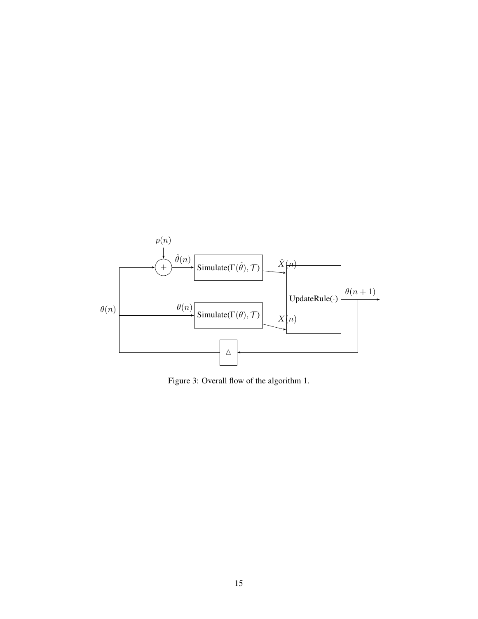

Figure 3: Overall flow of the algorithm 1.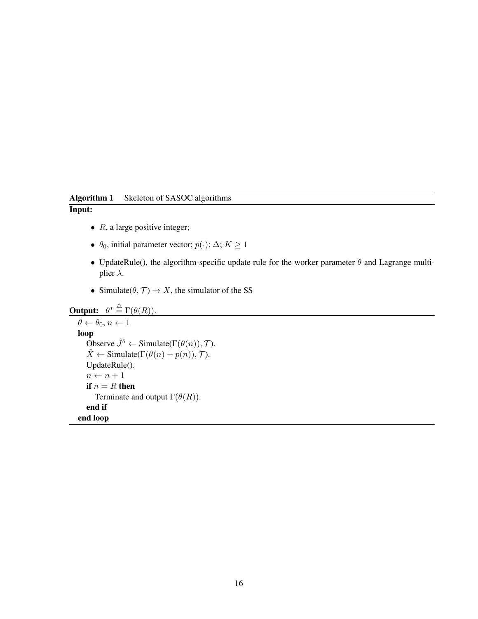# Algorithm 1 Skeleton of SASOC algorithms

### Input:

- $R$ , a large positive integer;
- $\theta_0$ , initial parameter vector;  $p(\cdot)$ ;  $\Delta$ ;  $K \ge 1$
- UpdateRule(), the algorithm-specific update rule for the worker parameter  $\theta$  and Lagrange multiplier  $\lambda$ .
- Simulate( $\theta$ ,  $\mathcal{T}$ )  $\rightarrow$  X, the simulator of the SS

```
Output: \theta^* \stackrel{\triangle}{=} \Gamma(\theta(R)).\theta \leftarrow \theta_0, n \leftarrow 1loop
       Observe \hat{J}^{\theta} \leftarrow Simulate(\Gamma(\theta(n)), \mathcal{T}).
       \hat{X} \leftarrow Simulate(\Gamma(\theta(n) + p(n)), \mathcal{T}).
       UpdateRule().
       n \leftarrow n + 1if n = R then
           Terminate and output \Gamma(\theta(R)).
       end if
   end loop
```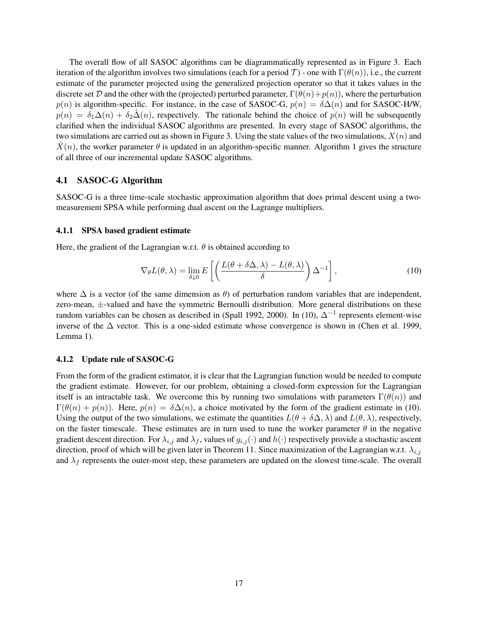The overall flow of all SASOC algorithms can be diagrammatically represented as in Figure 3. Each iteration of the algorithm involves two simulations (each for a period  $\mathcal{T}$ ) - one with  $\Gamma(\theta(n))$ , i.e., the current estimate of the parameter projected using the generalized projection operator so that it takes values in the discrete set D and the other with the (projected) perturbed parameter,  $\Gamma(\theta(n)+p(n))$ , where the perturbation  $p(n)$  is algorithm-specific. For instance, in the case of SASOC-G,  $p(n) = \delta \Delta(n)$  and for SASOC-H/W,  $p(n) = \delta_1 \Delta(n) + \delta_2 \hat{\Delta}(n)$ , respectively. The rationale behind the choice of  $p(n)$  will be subsequently clarified when the individual SASOC algorithms are presented. In every stage of SASOC algorithms, the two simulations are carried out as shown in Figure 3. Using the state values of the two simulations,  $X(n)$  and  $\hat{X}(n)$ , the worker parameter  $\theta$  is updated in an algorithm-specific manner. Algorithm 1 gives the structure of all three of our incremental update SASOC algorithms.

### 4.1 SASOC-G Algorithm

SASOC-G is a three time-scale stochastic approximation algorithm that does primal descent using a twomeasurement SPSA while performing dual ascent on the Lagrange multipliers.

#### 4.1.1 SPSA based gradient estimate

Here, the gradient of the Lagrangian w.r.t.  $\theta$  is obtained according to

$$
\nabla_{\theta} L(\theta, \lambda) = \lim_{\delta \downarrow 0} E\left[ \left( \frac{L(\theta + \delta \Delta, \lambda) - L(\theta, \lambda)}{\delta} \right) \Delta^{-1} \right],
$$
\n(10)

where  $\Delta$  is a vector (of the same dimension as  $\theta$ ) of perturbation random variables that are independent, zero-mean, ±-valued and have the symmetric Bernoulli distribution. More general distributions on these random variables can be chosen as described in (Spall 1992, 2000). In (10),  $\Delta^{-1}$  represents element-wise inverse of the ∆ vector. This is a one-sided estimate whose convergence is shown in (Chen et al. 1999, Lemma 1).

#### 4.1.2 Update rule of SASOC-G

From the form of the gradient estimator, it is clear that the Lagrangian function would be needed to compute the gradient estimate. However, for our problem, obtaining a closed-form expression for the Lagrangian itself is an intractable task. We overcome this by running two simulations with parameters  $\Gamma(\theta(n))$  and  $\Gamma(\theta(n) + p(n))$ . Here,  $p(n) = \delta \Delta(n)$ , a choice motivated by the form of the gradient estimate in (10). Using the output of the two simulations, we estimate the quantities  $L(\theta + \delta \Delta, \lambda)$  and  $L(\theta, \lambda)$ , respectively, on the faster timescale. These estimates are in turn used to tune the worker parameter  $\theta$  in the negative gradient descent direction. For  $\lambda_{i,j}$  and  $\lambda_f$ , values of  $g_{i,j}(\cdot)$  and  $h(\cdot)$  respectively provide a stochastic ascent direction, proof of which will be given later in Theorem 11. Since maximization of the Lagrangian w.r.t.  $\lambda_{i,j}$ and  $\lambda_f$  represents the outer-most step, these parameters are updated on the slowest time-scale. The overall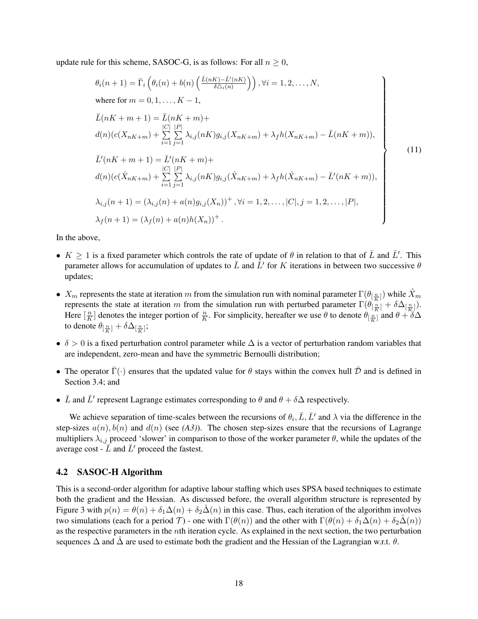update rule for this scheme, SASOC-G, is as follows: For all  $n \geq 0$ ,

$$
\theta_{i}(n+1) = \bar{\Gamma}_{i} \left( \theta_{i}(n) + b(n) \left( \frac{\bar{L}(nK) - \bar{L}'(nK)}{\delta \Delta_{i}(n)} \right) \right), \forall i = 1, 2, ..., N,
$$
\nwhere for  $m = 0, 1, ..., K - 1$ ,  
\n
$$
\bar{L}(nK + m + 1) = \bar{L}(nK + m) +
$$
\n
$$
d(n)(c(X_{nK+m}) + \sum_{i=1}^{|C|} \sum_{j=1}^{|P|} \lambda_{i,j}(nK)g_{i,j}(X_{nK+m}) + \lambda_{f}h(X_{nK+m}) - \bar{L}(nK + m)),
$$
\n
$$
\bar{L}'(nK + m + 1) = \bar{L}'(nK + m) +
$$
\n
$$
d(n)(c(\hat{X}_{nK+m}) + \sum_{i=1}^{|C|} \sum_{j=1}^{|P|} \lambda_{i,j}(nK)g_{i,j}(\hat{X}_{nK+m}) + \lambda_{f}h(\hat{X}_{nK+m}) - \bar{L}'(nK + m)),
$$
\n
$$
\lambda_{i,j}(n+1) = (\lambda_{i,j}(n) + a(n)g_{i,j}(X_{n}))^{+}, \forall i = 1, 2, ..., |C|, j = 1, 2, ..., |P|,
$$
\n
$$
\lambda_{f}(n+1) = (\lambda_{f}(n) + a(n)h(X_{n}))^{+}.
$$
\n(11)

In the above,

- $K \geq 1$  is a fixed parameter which controls the rate of update of  $\theta$  in relation to that of  $\bar{L}$  and  $\bar{L}'$ . This parameter allows for accumulation of updates to  $\bar{L}$  and  $\bar{L}'$  for K iterations in between two successive  $\theta$ updates;
- $X_m$  represents the state at iteration m from the simulation run with nominal parameter  $\Gamma(\theta_{[\frac{n}{K}]} )$  while  $\hat{X}_m$ represents the state at iteration m from the simulation run with perturbed parameter  $\Gamma(\theta_{\lfloor \frac{n}{K}\rfloor}^{(k)})$ . Here  $\left[\frac{n}{K}\right]$  denotes the integer portion of  $\frac{n}{K}$ . For simplicity, hereafter we use  $\theta$  to denote  $\theta_{\left[\frac{n}{K}\right]}$  and  $\theta + \theta$  $\frac{n}{K}$ ] denotes the integer portion of  $\frac{n}{K}$ . For simplicity, hereafter we use  $\theta$  to denote  $\theta_{\left[\frac{n}{K}\right]}^{K}$  and  $\theta + \delta \Delta$ to denote  $\theta_{[\frac{n}{K}]}+\delta\Delta_{[\frac{n}{K}]};$
- $\delta > 0$  is a fixed perturbation control parameter while  $\Delta$  is a vector of perturbation random variables that are independent, zero-mean and have the symmetric Bernoulli distribution;
- The operator  $\bar{\Gamma}(\cdot)$  ensures that the updated value for  $\theta$  stays within the convex hull  $\bar{\mathcal{D}}$  and is defined in Section 3.4; and
- $\bar{L}$  and  $\bar{L}'$  represent Lagrange estimates corresponding to  $\theta$  and  $\theta + \delta \Delta$  respectively.

We achieve separation of time-scales between the recursions of  $\theta_i$ ,  $\bar{L}$ ,  $\bar{L}'$  and  $\lambda$  via the difference in the step-sizes  $a(n)$ ,  $b(n)$  and  $d(n)$  (see (A3)). The chosen step-sizes ensure that the recursions of Lagrange multipliers  $\lambda_{i,j}$  proceed 'slower' in comparison to those of the worker parameter  $\theta$ , while the updates of the average cost -  $\bar{L}$  and  $\bar{L}'$  proceed the fastest.

### 4.2 SASOC-H Algorithm

This is a second-order algorithm for adaptive labour staffing which uses SPSA based techniques to estimate both the gradient and the Hessian. As discussed before, the overall algorithm structure is represented by Figure 3 with  $p(n) = \theta(n) + \delta_1 \Delta(n) + \delta_2 \Delta(n)$  in this case. Thus, each iteration of the algorithm involves two simulations (each for a period T) - one with  $\Gamma(\theta(n))$  and the other with  $\Gamma(\theta(n) + \delta_1\Delta(n) + \delta_2\Delta(n))$ as the respective parameters in the nth iteration cycle. As explained in the next section, the two perturbation sequences  $\Delta$  and  $\hat{\Delta}$  are used to estimate both the gradient and the Hessian of the Lagrangian w.r.t.  $\theta$ .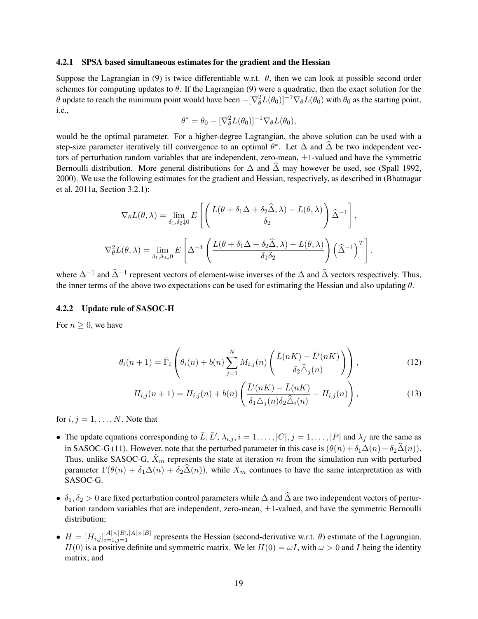#### 4.2.1 SPSA based simultaneous estimates for the gradient and the Hessian

Suppose the Lagrangian in (9) is twice differentiable w.r.t.  $\theta$ , then we can look at possible second order schemes for computing updates to  $\theta$ . If the Lagrangian (9) were a quadratic, then the exact solution for the  $\theta$  update to reach the minimum point would have been  $-[\nabla_{\theta}^2 L(\theta_0)]^{-1} \nabla_{\theta} L(\theta_0)$  with  $\theta_0$  as the starting point, i.e.,

$$
\theta^* = \theta_0 - [\nabla_{\theta}^2 L(\theta_0)]^{-1} \nabla_{\theta} L(\theta_0),
$$

would be the optimal parameter. For a higher-degree Lagrangian, the above solution can be used with a step-size parameter iteratively till convergence to an optimal  $\theta^*$ . Let  $\Delta$  and  $\widehat{\Delta}$  be two independent vectors of perturbation random variables that are independent, zero-mean,  $\pm 1$ -valued and have the symmetric Bernoulli distribution. More general distributions for  $\Delta$  and  $\tilde{\Delta}$  may however be used, see (Spall 1992, 2000). We use the following estimates for the gradient and Hessian, respectively, as described in (Bhatnagar et al. 2011a, Section 3.2.1):

$$
\nabla_{\theta} L(\theta, \lambda) = \lim_{\delta_1, \delta_2 \downarrow 0} E\left[ \left( \frac{L(\theta + \delta_1 \Delta + \delta_2 \hat{\Delta}, \lambda) - L(\theta, \lambda)}{\delta_2} \right) \hat{\Delta}^{-1} \right],
$$
  

$$
\nabla_{\theta}^2 L(\theta, \lambda) = \lim_{\delta_1, \delta_2 \downarrow 0} E\left[ \Delta^{-1} \left( \frac{L(\theta + \delta_1 \Delta + \delta_2 \hat{\Delta}, \lambda) - L(\theta, \lambda)}{\delta_1 \delta_2} \right) \left( \hat{\Delta}^{-1} \right)^T \right],
$$

where  $\Delta^{-1}$  and  $\widehat{\Delta}^{-1}$  represent vectors of element-wise inverses of the  $\Delta$  and  $\widehat{\Delta}$  vectors respectively. Thus, the inner terms of the above two expectations can be used for estimating the Hessian and also updating  $\theta$ .

#### 4.2.2 Update rule of SASOC-H

For  $n \geq 0$ , we have

$$
\theta_i(n+1) = \bar{\Gamma}_i \left( \theta_i(n) + b(n) \sum_{j=1}^N M_{i,j}(n) \left( \frac{\bar{L}(nK) - \bar{L}'(nK)}{\delta_2 \hat{\Delta}_j(n)} \right) \right), \tag{12}
$$

$$
H_{i,j}(n+1) = H_{i,j}(n) + b(n) \left( \frac{\bar{L}'(nK) - \bar{L}(nK)}{\delta_1 \Delta_j(n) \delta_2 \hat{\Delta}_i(n)} - H_{i,j}(n) \right),\tag{13}
$$

for  $i, j = 1, \ldots, N$ . Note that

- The update equations corresponding to  $\bar{L}$ ,  $\bar{L}'$ ,  $\lambda_{i,j}$ ,  $i = 1, \ldots, |C|$ ,  $j = 1, \ldots, |P|$  and  $\lambda_f$  are the same as in SASOC-G (11). However, note that the perturbed parameter in this case is  $(\theta(n) + \delta_1\Delta(n) + \delta_2\hat{\Delta}(n))$ . Thus, unlike SASOC-G,  $\hat{X}_m$  represents the state at iteration m from the simulation run with perturbed parameter  $\Gamma(\theta(n) + \delta_1\Delta(n) + \delta_2\hat{\Delta}(n))$ , while  $X_m$  continues to have the same interpretation as with SASOC-G.
- $\delta_1, \delta_2 > 0$  are fixed perturbation control parameters while  $\Delta$  and  $\widehat{\Delta}$  are two independent vectors of perturbation random variables that are independent, zero-mean,  $\pm 1$ -valued, and have the symmetric Bernoulli distribution;
- $\bullet$   $H = [H_{i,j}]_{i=1,j=1}^{|A|\times|B|,|A|\times|B|}$  represents the Hessian (second-derivative w.r.t.  $\theta$ ) estimate of the Lagrangian.  $H(0)$  is a positive definite and symmetric matrix. We let  $H(0) = \omega I$ , with  $\omega > 0$  and I being the identity matrix; and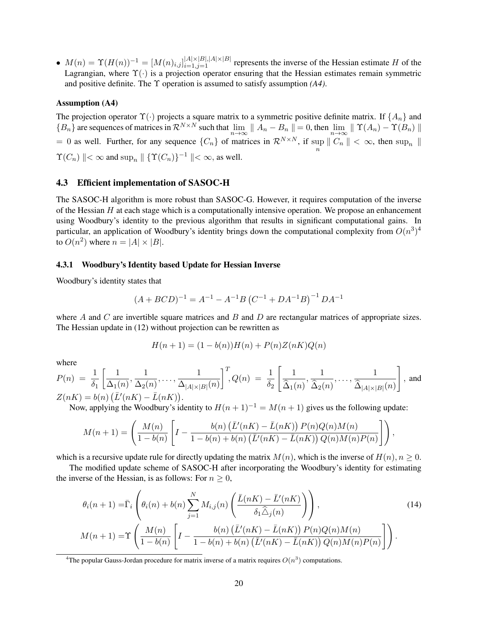•  $M(n) = \Upsilon(H(n))^{-1} = [M(n)_{i,j}]_{i=1,j=1}^{|A|\times|B|,|A|\times|B|}$  represents the inverse of the Hessian estimate H of the Lagrangian, where  $\Upsilon(\cdot)$  is a projection operator ensuring that the Hessian estimates remain symmetric and positive definite. The Υ operation is assumed to satisfy assumption *(A4)*.

### Assumption (A4)

The projection operator  $\Upsilon(\cdot)$  projects a square matrix to a symmetric positive definite matrix. If  $\{A_n\}$  and  ${B_n}$  are sequences of matrices in  $\mathcal{R}^{N \times N}$  such that  $\lim_{n \to \infty} || A_n - B_n || = 0$ , then  $\lim_{n \to \infty} || \Upsilon(A_n) - \Upsilon(B_n) ||$ = 0 as well. Further, for any sequence  $\{C_n\}$  of matrices in  $\mathcal{R}^{N \times N}$ , if  $\sup_n ||C_n|| < \infty$ , then  $\sup_n ||$  $\Upsilon(C_n) \parallel < \infty$  and  $\sup_n \parallel {\{\Upsilon(C_n)\}}^{-1} \parallel < \infty$ , as well.

### 4.3 Efficient implementation of SASOC-H

The SASOC-H algorithm is more robust than SASOC-G. However, it requires computation of the inverse of the Hessian  $H$  at each stage which is a computationally intensive operation. We propose an enhancement using Woodbury's identity to the previous algorithm that results in significant computational gains. In particular, an application of Woodbury's identity brings down the computational complexity from  $O(n^3)^4$ to  $O(n^2)$  where  $n = |A| \times |B|$ .

#### 4.3.1 Woodbury's Identity based Update for Hessian Inverse

Woodbury's identity states that

$$
(A + BCD)^{-1} = A^{-1} - A^{-1}B(C^{-1} + DA^{-1}B)^{-1}DA^{-1}
$$

where A and C are invertible square matrices and B and D are rectangular matrices of appropriate sizes. The Hessian update in (12) without projection can be rewritten as

$$
H(n + 1) = (1 - b(n))H(n) + P(n)Z(nK)Q(n)
$$

where

$$
P(n) = \frac{1}{\delta_1} \left[ \frac{1}{\Delta_1(n)}, \frac{1}{\Delta_2(n)}, \dots, \frac{1}{\Delta_{|A| \times |B|}(n)} \right]^T, Q(n) = \frac{1}{\delta_2} \left[ \frac{1}{\hat{\Delta}_1(n)}, \frac{1}{\hat{\Delta}_2(n)}, \dots, \frac{1}{\hat{\Delta}_{|A| \times |B|}(n)} \right],
$$
 and 
$$
Z(nK) = b(n) \left( \bar{L}'(nK) - \bar{L}(nK) \right).
$$

Now, applying the Woodbury's identity to  $H(n + 1)^{-1} = M(n + 1)$  gives us the following update:

$$
M(n+1) = \left(\frac{M(n)}{1-b(n)}\left[I-\frac{b(n)\left(\bar{L}'(nK)-\bar{L}(nK)\right)P(n)Q(n)M(n)}{1-b(n)+b(n)\left(\bar{L}'(nK)-\bar{L}(nK)\right)Q(n)M(n)P(n)}\right]\right),
$$

which is a recursive update rule for directly updating the matrix  $M(n)$ , which is the inverse of  $H(n)$ ,  $n \geq 0$ .

The modified update scheme of SASOC-H after incorporating the Woodbury's identity for estimating the inverse of the Hessian, is as follows: For  $n \geq 0$ ,

$$
\theta_i(n+1) = \bar{\Gamma}_i \left( \theta_i(n) + b(n) \sum_{j=1}^N M_{i,j}(n) \left( \frac{\bar{L}(nK) - \bar{L}'(nK)}{\delta_1 \hat{\Delta}_j(n)} \right) \right),
$$
\n
$$
M(n+1) = \Upsilon \left( \frac{M(n)}{1 - b(n)} \left[ I - \frac{b(n) \left( \bar{L}'(nK) - \bar{L}(nK) \right) P(n) Q(n) M(n)}{1 - b(n) + b(n) \left( \bar{L}'(nK) - \bar{L}(nK) \right) Q(n) M(n) P(n)} \right] \right).
$$
\n(14)

<sup>4</sup>The popular Gauss-Jordan procedure for matrix inverse of a matrix requires  $O(n^3)$  computations.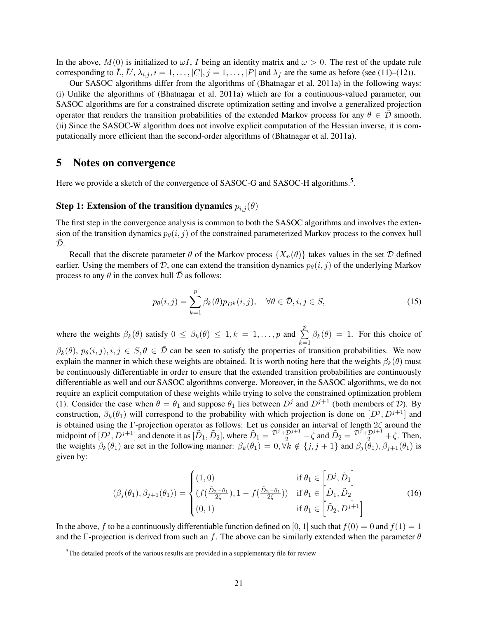In the above,  $M(0)$  is initialized to  $\omega I$ , I being an identity matrix and  $\omega > 0$ . The rest of the update rule corresponding to  $\overline{L}, \overline{L'}, \lambda_{i,j}, i = 1, \ldots, |C|, j = 1, \ldots, |P|$  and  $\lambda_f$  are the same as before (see (11)–(12)).

Our SASOC algorithms differ from the algorithms of (Bhatnagar et al. 2011a) in the following ways: (i) Unlike the algorithms of (Bhatnagar et al. 2011a) which are for a continuous-valued parameter, our SASOC algorithms are for a constrained discrete optimization setting and involve a generalized projection operator that renders the transition probabilities of the extended Markov process for any  $\theta \in \overline{\mathcal{D}}$  smooth. (ii) Since the SASOC-W algorithm does not involve explicit computation of the Hessian inverse, it is computationally more efficient than the second-order algorithms of (Bhatnagar et al. 2011a).

### 5 Notes on convergence

Here we provide a sketch of the convergence of SASOC-G and SASOC-H algorithms.<sup>5</sup>.

### Step 1: Extension of the transition dynamics  $p_{i,j}(\theta)$

The first step in the convergence analysis is common to both the SASOC algorithms and involves the extension of the transition dynamics  $p_{\theta}(i, j)$  of the constrained parameterized Markov process to the convex hull  $\mathcal{D}$ .

Recall that the discrete parameter  $\theta$  of the Markov process  $\{X_n(\theta)\}\$  takes values in the set  $\mathcal D$  defined earlier. Using the members of D, one can extend the transition dynamics  $p_{\theta}(i, j)$  of the underlying Markov process to any  $\theta$  in the convex hull  $\bar{\mathcal{D}}$  as follows:

$$
p_{\theta}(i,j) = \sum_{k=1}^{p} \beta_k(\theta) p_{D^k}(i,j), \quad \forall \theta \in \bar{\mathcal{D}}, i, j \in S,
$$
\n(15)

where the weights  $\beta_k(\theta)$  satisfy  $0 \leq \beta_k(\theta) \leq 1, k = 1, \ldots, p$  and  $\sum_{k=1}^{p}$  $k=1$  $\beta_k(\theta) = 1$ . For this choice of  $\beta_k(\theta)$ ,  $p_\theta(i, j), i, j \in S, \theta \in \overline{\mathcal{D}}$  can be seen to satisfy the properties of transition probabilities. We now explain the manner in which these weights are obtained. It is worth noting here that the weights  $\beta_k(\theta)$  must be continuously differentiable in order to ensure that the extended transition probabilities are continuously differentiable as well and our SASOC algorithms converge. Moreover, in the SASOC algorithms, we do not require an explicit computation of these weights while trying to solve the constrained optimization problem (1). Consider the case when  $\theta = \theta_1$  and suppose  $\theta_1$  lies between  $D^j$  and  $D^{j+1}$  (both members of  $D$ ). By construction,  $\beta_k(\theta_1)$  will correspond to the probability with which projection is done on  $[D^j, D^{j+1}]$  and is obtained using the Γ-projection operator as follows: Let us consider an interval of length 2ζ around the midpoint of  $[D^j, D^{j+1}]$  and denote it as  $[\tilde{D}_1, \tilde{D}_2]$ , where  $\tilde{D}_1 = \frac{\mathcal{D}^j + \mathcal{D}^{j+1}}{2} - \zeta$  and  $\tilde{D}_2 = \frac{\mathcal{D}^j + \mathcal{D}^{j+1}}{2} + \zeta$ . Then, the weights  $\beta_k(\theta_1)$  are set in the following manner:  $\beta_k(\theta_1) = 0$ ,  $\forall k \notin \{j, j + 1\}$  and  $\beta_j(\theta_1), \beta_{j+1}(\theta_1)$  is given by:

$$
(\beta_j(\theta_1), \beta_{j+1}(\theta_1)) = \begin{cases} (1,0) & \text{if } \theta_1 \in \left[ D^j, \tilde{D}_1 \right] \\ (f(\frac{\tilde{D}_2 - \theta_1}{2\zeta}), 1 - f(\frac{\tilde{D}_2 - \theta_1}{2\zeta})) & \text{if } \theta_1 \in \left[ \tilde{D}_1, \tilde{D}_2 \right] \\ (0,1) & \text{if } \theta_1 \in \left[ \tilde{D}_2, D^{j+1} \right] \end{cases}
$$
(16)

In the above, f to be a continuously differentiable function defined on [0, 1] such that  $f(0) = 0$  and  $f(1) = 1$ and the Γ-projection is derived from such an f. The above can be similarly extended when the parameter  $\theta$ 

<sup>&</sup>lt;sup>5</sup>The detailed proofs of the various results are provided in a supplementary file for review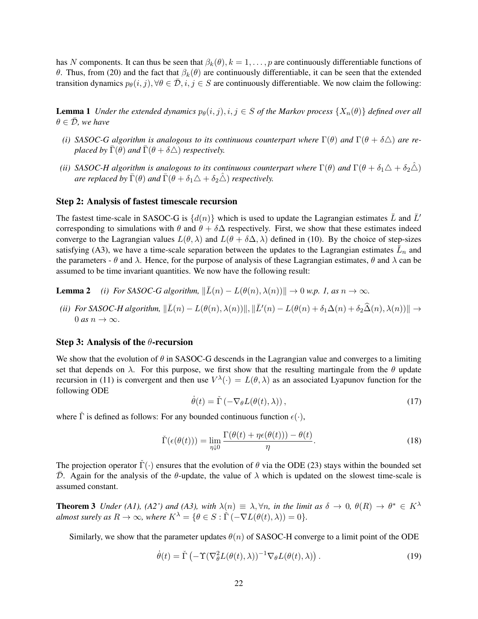has N components. It can thus be seen that  $\beta_k(\theta), k = 1, \ldots, p$  are continuously differentiable functions of θ. Thus, from (20) and the fact that  $β_k(θ)$  are continuously differentiable, it can be seen that the extended transition dynamics  $p_{\theta}(i, j)$ ,  $\forall \theta \in \overline{\mathcal{D}}, i, j \in S$  are continuously differentiable. We now claim the following:

**Lemma 1** *Under the extended dynamics*  $p_{\theta}(i, j), i, j \in S$  *of the Markov process*  $\{X_n(\theta)\}\$  *defined over all*  $\theta \in \overline{\mathcal{D}}$ *, we have* 

- *(i)* SASOC-G algorithm is analogous to its continuous counterpart where  $\Gamma(\theta)$  and  $\Gamma(\theta + \delta \triangle)$  are re*placed by*  $\bar{\Gamma}(\theta)$  *and*  $\bar{\Gamma}(\theta + \delta \triangle)$  *respectively.*
- *(ii)* SASOC-H algorithm is analogous to its continuous counterpart where  $\Gamma(\theta)$  and  $\Gamma(\theta + \delta_1 \Delta + \delta_2 \hat{\Delta})$ *are replaced by*  $\bar{\Gamma}(\theta)$  *and*  $\bar{\Gamma}(\theta + \delta_1 \Delta + \delta_2 \hat{\Delta})$  *respectively.*

### Step 2: Analysis of fastest timescale recursion

The fastest time-scale in SASOC-G is  $\{d(n)\}\$  which is used to update the Lagrangian estimates  $\bar{L}$  and  $\bar{L}'$ corresponding to simulations with  $\theta$  and  $\theta + \delta \Delta$  respectively. First, we show that these estimates indeed converge to the Lagrangian values  $L(\theta, \lambda)$  and  $L(\theta + \delta \Delta, \lambda)$  defined in (10). By the choice of step-sizes satisfying (A3), we have a time-scale separation between the updates to the Lagrangian estimates  $\bar{L}_n$  and the parameters -  $\theta$  and  $\lambda$ . Hence, for the purpose of analysis of these Lagrangian estimates,  $\theta$  and  $\lambda$  can be assumed to be time invariant quantities. We now have the following result:

**Lemma 2** *(i) For SASOC-G algorithm,*  $\|\overline{L}(n) - L(\theta(n), \lambda(n))\| \to 0$  *w.p.* 1, as  $n \to \infty$ *.* 

*(ii)* For SASOC-H algorithm,  $\|\bar{L}(n) - L(\theta(n), \lambda(n))\|$ ,  $\|\bar{L}'(n) - L(\theta(n) + \delta_1\Delta(n) + \delta_2\hat{\Delta}(n), \lambda(n))\|$   $\rightarrow$  $0$  *as*  $n \to \infty$ .

#### Step 3: Analysis of the  $\theta$ -recursion

We show that the evolution of  $\theta$  in SASOC-G descends in the Lagrangian value and converges to a limiting set that depends on  $\lambda$ . For this purpose, we first show that the resulting martingale from the  $\theta$  update recursion in (11) is convergent and then use  $V^{\lambda}(\cdot) = L(\theta, \lambda)$  as an associated Lyapunov function for the following ODE

$$
\dot{\theta}(t) = \check{\Gamma}\left(-\nabla_{\theta}L(\theta(t), \lambda)\right),\tag{17}
$$

where  $\tilde{\Gamma}$  is defined as follows: For any bounded continuous function  $\epsilon(\cdot)$ ,

$$
\check{\Gamma}(\epsilon(\theta(t))) = \lim_{\eta \downarrow 0} \frac{\Gamma(\theta(t) + \eta \epsilon(\theta(t))) - \theta(t)}{\eta}.
$$
\n(18)

The projection operator  $\tilde{\Gamma}(\cdot)$  ensures that the evolution of  $\theta$  via the ODE (23) stays within the bounded set  $\overline{D}$ . Again for the analysis of the  $\theta$ -update, the value of  $\lambda$  which is updated on the slowest time-scale is assumed constant.

**Theorem 3** *Under (A1), (A2') and (A3), with*  $\lambda(n) \equiv \lambda, \forall n$ , *in the limit as*  $\delta \to 0$ ,  $\theta(R) \to \theta^* \in K^{\lambda}$ *almost surely as*  $R \to \infty$ *, where*  $K^{\lambda} = \{ \theta \in S : \check{\Gamma}(-\nabla L(\theta(t), \lambda)) = 0 \}.$ 

Similarly, we show that the parameter updates  $\theta(n)$  of SASOC-H converge to a limit point of the ODE

$$
\dot{\theta}(t) = \check{\Gamma}\left(-\Upsilon(\nabla^2_{\theta}L(\theta(t),\lambda))^{-1}\nabla_{\theta}L(\theta(t),\lambda)\right). \tag{19}
$$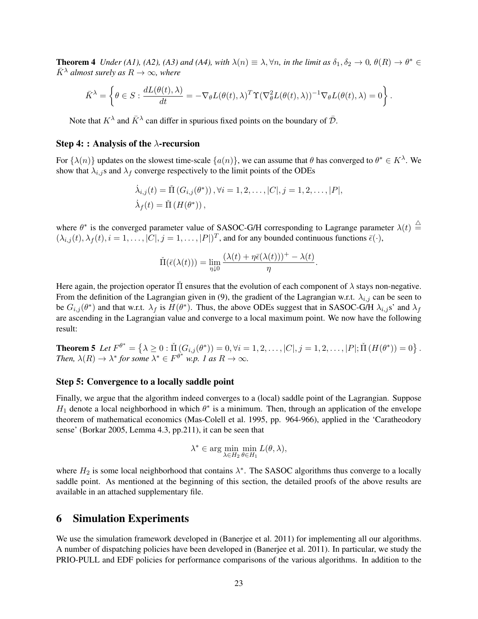**Theorem 4** *Under (A1), (A2), (A3) and (A4), with*  $\lambda(n) \equiv \lambda, \forall n$ *, in the limit as*  $\delta_1, \delta_2 \to 0$ ,  $\theta(R) \to \theta^* \in$  $\bar{K}^{\lambda}$  *almost surely as*  $R \to \infty$ *, where* 

$$
\bar{K}^{\lambda} = \left\{ \theta \in S : \frac{dL(\theta(t), \lambda)}{dt} = -\nabla_{\theta} L(\theta(t), \lambda)^{T} \Upsilon (\nabla_{\theta}^{2} L(\theta(t), \lambda))^{-1} \nabla_{\theta} L(\theta(t), \lambda) = 0 \right\}.
$$

Note that  $K^{\lambda}$  and  $\bar{K}^{\lambda}$  can differ in spurious fixed points on the boundary of  $\bar{\mathcal{D}}$ .

#### Step 4: : Analysis of the  $\lambda$ -recursion

For  $\{\lambda(n)\}\$  updates on the slowest time-scale  $\{a(n)\}\$ , we can assume that  $\theta$  has converged to  $\theta^* \in K^{\lambda}$ . We show that  $\lambda_{i,j}$  and  $\lambda_f$  converge respectively to the limit points of the ODEs

$$
\dot{\lambda}_{i,j}(t) = \tilde{\Pi}(G_{i,j}(\theta^*)), \forall i = 1, 2, \dots, |C|, j = 1, 2, \dots, |P|,
$$
  

$$
\dot{\lambda}_f(t) = \tilde{\Pi}(H(\theta^*)),
$$

where  $\theta^*$  is the converged parameter value of SASOC-G/H corresponding to Lagrange parameter  $\lambda(t) \stackrel{\triangle}{=}$  $(\lambda_{i,j}(t), \lambda_f(t), i = 1, \ldots, |C|, j = 1, \ldots, |P|)^T$ , and for any bounded continuous functions  $\bar{\epsilon}(\cdot)$ ,

$$
\check{\Pi}(\bar{\epsilon}(\lambda(t))) = \lim_{\eta \downarrow 0} \frac{(\lambda(t) + \eta \bar{\epsilon}(\lambda(t)))^+ - \lambda(t)}{\eta}.
$$

Here again, the projection operator II ensures that the evolution of each component of  $\lambda$  stays non-negative. From the definition of the Lagrangian given in (9), the gradient of the Lagrangian w.r.t.  $\lambda_{i,j}$  can be seen to be  $G_{i,j}(\theta^*)$  and that w.r.t.  $\lambda_f$  is  $H(\theta^*)$ . Thus, the above ODEs suggest that in SASOC-G/H  $\lambda_{i,j}$ s' and  $\lambda_f$ are ascending in the Lagrangian value and converge to a local maximum point. We now have the following result:

**Theorem 5** Let  $F^{\theta^*} = \{ \lambda \ge 0 : \check{\Pi}(G_{i,j}(\theta^*)) = 0, \forall i = 1, 2, \ldots, |C|, j = 1, 2, \ldots, |P|; \check{\Pi}(H(\theta^*)) = 0 \}$ . *Then,*  $\lambda(R) \to \lambda^*$  for some  $\lambda^* \in F^{\theta^*}$  w.p. 1 as  $R \to \infty$ .

#### Step 5: Convergence to a locally saddle point

Finally, we argue that the algorithm indeed converges to a (local) saddle point of the Lagrangian. Suppose  $H_1$  denote a local neighborhood in which  $\theta^*$  is a minimum. Then, through an application of the envelope theorem of mathematical economics (Mas-Colell et al. 1995, pp. 964-966), applied in the 'Caratheodory sense' (Borkar 2005, Lemma 4.3, pp.211), it can be seen that

$$
\lambda^* \in \arg\min_{\lambda \in H_2} \min_{\theta \in H_1} L(\theta, \lambda),
$$

where  $H_2$  is some local neighborhood that contains  $\lambda^*$ . The SASOC algorithms thus converge to a locally saddle point. As mentioned at the beginning of this section, the detailed proofs of the above results are available in an attached supplementary file.

### 6 Simulation Experiments

We use the simulation framework developed in (Banerjee et al. 2011) for implementing all our algorithms. A number of dispatching policies have been developed in (Banerjee et al. 2011). In particular, we study the PRIO-PULL and EDF policies for performance comparisons of the various algorithms. In addition to the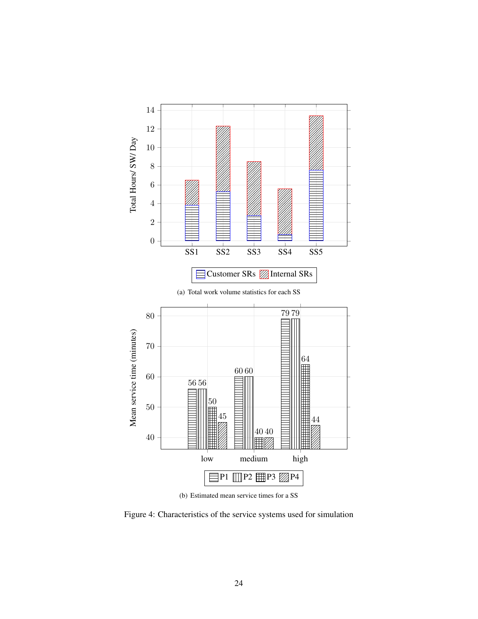

(b) Estimated mean service times for a SS

Figure 4: Characteristics of the service systems used for simulation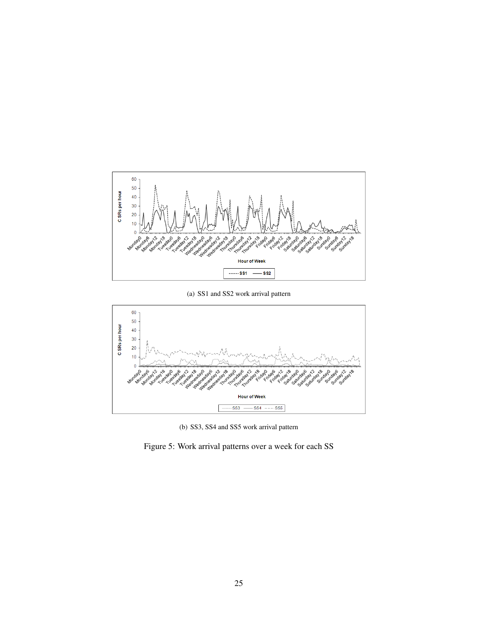

(a) SS1 and SS2 work arrival pattern



(b) SS3, SS4 and SS5 work arrival pattern

Figure 5: Work arrival patterns over a week for each SS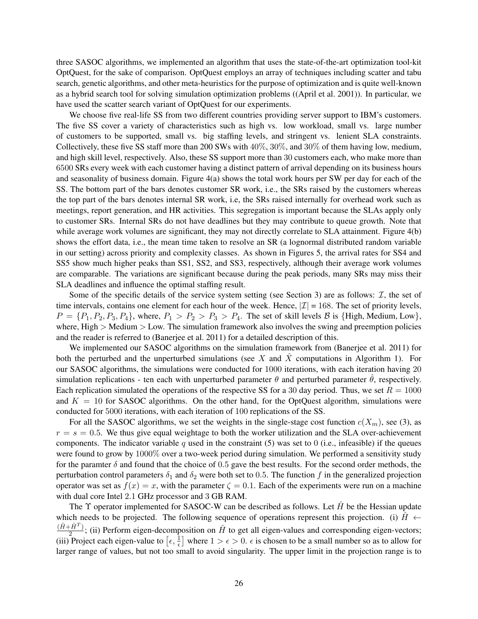three SASOC algorithms, we implemented an algorithm that uses the state-of-the-art optimization tool-kit OptQuest, for the sake of comparison. OptQuest employs an array of techniques including scatter and tabu search, genetic algorithms, and other meta-heuristics for the purpose of optimization and is quite well-known as a hybrid search tool for solving simulation optimization problems ((April et al. 2001)). In particular, we have used the scatter search variant of OptQuest for our experiments.

We choose five real-life SS from two different countries providing server support to IBM's customers. The five SS cover a variety of characteristics such as high vs. low workload, small vs. large number of customers to be supported, small vs. big staffing levels, and stringent vs. lenient SLA constraints. Collectively, these five SS staff more than 200 SWs with 40%, 30%, and 30% of them having low, medium, and high skill level, respectively. Also, these SS support more than 30 customers each, who make more than 6500 SRs every week with each customer having a distinct pattern of arrival depending on its business hours and seasonality of business domain. Figure 4(a) shows the total work hours per SW per day for each of the SS. The bottom part of the bars denotes customer SR work, i.e., the SRs raised by the customers whereas the top part of the bars denotes internal SR work, i.e, the SRs raised internally for overhead work such as meetings, report generation, and HR activities. This segregation is important because the SLAs apply only to customer SRs. Internal SRs do not have deadlines but they may contribute to queue growth. Note that while average work volumes are significant, they may not directly correlate to SLA attainment. Figure 4(b) shows the effort data, i.e., the mean time taken to resolve an SR (a lognormal distributed random variable in our setting) across priority and complexity classes. As shown in Figures 5, the arrival rates for SS4 and SS5 show much higher peaks than SS1, SS2, and SS3, respectively, although their average work volumes are comparable. The variations are significant because during the peak periods, many SRs may miss their SLA deadlines and influence the optimal staffing result.

Some of the specific details of the service system setting (see Section 3) are as follows:  $I$ , the set of time intervals, contains one element for each hour of the week. Hence,  $|\mathcal{I}| = 168$ . The set of priority levels,  $P = \{P_1, P_2, P_3, P_4\}$ , where,  $P_1 > P_2 > P_3 > P_4$ . The set of skill levels B is {High, Medium, Low}, where,  $High > Medium > Low$ . The simulation framework also involves the swing and preemption policies and the reader is referred to (Banerjee et al. 2011) for a detailed description of this.

We implemented our SASOC algorithms on the simulation framework from (Banerjee et al. 2011) for both the perturbed and the unperturbed simulations (see X and  $\hat{X}$  computations in Algorithm 1). For our SASOC algorithms, the simulations were conducted for 1000 iterations, with each iteration having 20 simulation replications - ten each with unperturbed parameter  $\theta$  and perturbed parameter  $\theta$ , respectively. Each replication simulated the operations of the respective SS for a 30 day period. Thus, we set  $R = 1000$ and  $K = 10$  for SASOC algorithms. On the other hand, for the OptQuest algorithm, simulations were conducted for 5000 iterations, with each iteration of 100 replications of the SS.

For all the SASOC algorithms, we set the weights in the single-stage cost function  $c(X_m)$ , see (3), as  $r = s = 0.5$ . We thus give equal weightage to both the worker utilization and the SLA over-achievement components. The indicator variable q used in the constraint  $(5)$  was set to 0 (i.e., infeasible) if the queues were found to grow by 1000% over a two-week period during simulation. We performed a sensitivity study for the paramter  $\delta$  and found that the choice of 0.5 gave the best results. For the second order methods, the perturbation control parameters  $\delta_1$  and  $\delta_2$  were both set to 0.5. The function f in the generalized projection operator was set as  $f(x) = x$ , with the parameter  $\zeta = 0.1$ . Each of the experiments were run on a machine with dual core Intel 2.1 GHz processor and 3 GB RAM.

The  $\Upsilon$  operator implemented for SASOC-W can be described as follows. Let  $\hat{H}$  be the Hessian update which needs to be projected. The following sequence of operations represent this projection. (i)  $\hat{H}$   $\leftarrow$  $(\hat{H} + \hat{H}^T)$  $\frac{H^T}{2}$ ; (ii) Perform eigen-decomposition on  $\hat{H}$  to get all eigen-values and corresponding eigen-vectors; (iii) Project each eigen-value to  $\left[\epsilon,\frac{1}{\epsilon}\right]$  where  $1>\epsilon>0$ .  $\epsilon$  is chosen to be a small number so as to allow for larger range of values, but not too small to avoid singularity. The upper limit in the projection range is to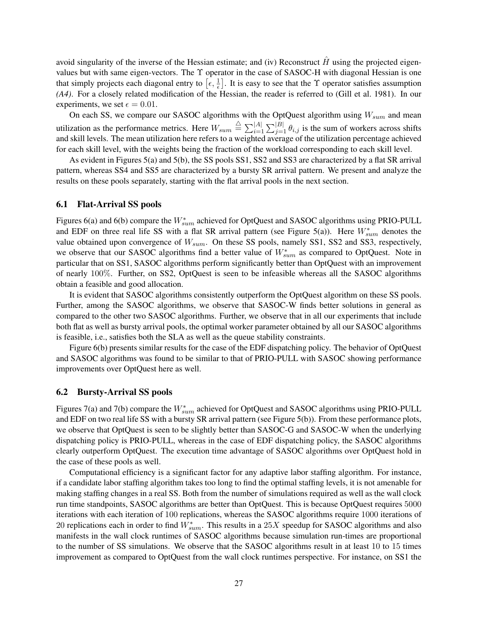avoid singularity of the inverse of the Hessian estimate; and (iv) Reconstruct  $\hat{H}$  using the projected eigenvalues but with same eigen-vectors. The Υ operator in the case of SASOC-H with diagonal Hessian is one that simply projects each diagonal entry to  $\left[\epsilon, \frac{1}{\epsilon}\right]$ . It is easy to see that the  $\Upsilon$  operator satisfies assumption *(A4)*. For a closely related modification of the Hessian, the reader is referred to (Gill et al. 1981). In our experiments, we set  $\epsilon = 0.01$ .

On each SS, we compare our SASOC algorithms with the OptQuest algorithm using  $W_{sum}$  and mean utilization as the performance metrics. Here  $W_{sum} \stackrel{\triangle}{=} \sum_{i=1}^{|A|} \sum_{j=1}^{|B|} \theta_{i,j}$  is the sum of workers across shifts and skill levels. The mean utilization here refers to a weighted average of the utilization percentage achieved for each skill level, with the weights being the fraction of the workload corresponding to each skill level.

As evident in Figures 5(a) and 5(b), the SS pools SS1, SS2 and SS3 are characterized by a flat SR arrival pattern, whereas SS4 and SS5 are characterized by a bursty SR arrival pattern. We present and analyze the results on these pools separately, starting with the flat arrival pools in the next section.

### 6.1 Flat-Arrival SS pools

Figures 6(a) and 6(b) compare the  $W^*_{sum}$  achieved for OptQuest and SASOC algorithms using PRIO-PULL and EDF on three real life SS with a flat SR arrival pattern (see Figure 5(a)). Here  $W^*_{sum}$  denotes the value obtained upon convergence of  $W_{sum}$ . On these SS pools, namely SS1, SS2 and SS3, respectively, we observe that our SASOC algorithms find a better value of  $W^*_{sum}$  as compared to OptQuest. Note in particular that on SS1, SASOC algorithms perform significantly better than OptQuest with an improvement of nearly 100%. Further, on SS2, OptQuest is seen to be infeasible whereas all the SASOC algorithms obtain a feasible and good allocation.

It is evident that SASOC algorithms consistently outperform the OptQuest algorithm on these SS pools. Further, among the SASOC algorithms, we observe that SASOC-W finds better solutions in general as compared to the other two SASOC algorithms. Further, we observe that in all our experiments that include both flat as well as bursty arrival pools, the optimal worker parameter obtained by all our SASOC algorithms is feasible, i.e., satisfies both the SLA as well as the queue stability constraints.

Figure 6(b) presents similar results for the case of the EDF dispatching policy. The behavior of OptQuest and SASOC algorithms was found to be similar to that of PRIO-PULL with SASOC showing performance improvements over OptQuest here as well.

#### 6.2 Bursty-Arrival SS pools

Figures 7(a) and 7(b) compare the  $W^*_{sum}$  achieved for OptQuest and SASOC algorithms using PRIO-PULL and EDF on two real life SS with a bursty SR arrival pattern (see Figure 5(b)). From these performance plots, we observe that OptQuest is seen to be slightly better than SASOC-G and SASOC-W when the underlying dispatching policy is PRIO-PULL, whereas in the case of EDF dispatching policy, the SASOC algorithms clearly outperform OptQuest. The execution time advantage of SASOC algorithms over OptQuest hold in the case of these pools as well.

Computational efficiency is a significant factor for any adaptive labor staffing algorithm. For instance, if a candidate labor staffing algorithm takes too long to find the optimal staffing levels, it is not amenable for making staffing changes in a real SS. Both from the number of simulations required as well as the wall clock run time standpoints, SASOC algorithms are better than OptQuest. This is because OptQuest requires 5000 iterations with each iteration of 100 replications, whereas the SASOC algorithms require 1000 iterations of 20 replications each in order to find  $W^*_{sum}$ . This results in a 25X speedup for SASOC algorithms and also manifests in the wall clock runtimes of SASOC algorithms because simulation run-times are proportional to the number of SS simulations. We observe that the SASOC algorithms result in at least 10 to 15 times improvement as compared to OptQuest from the wall clock runtimes perspective. For instance, on SS1 the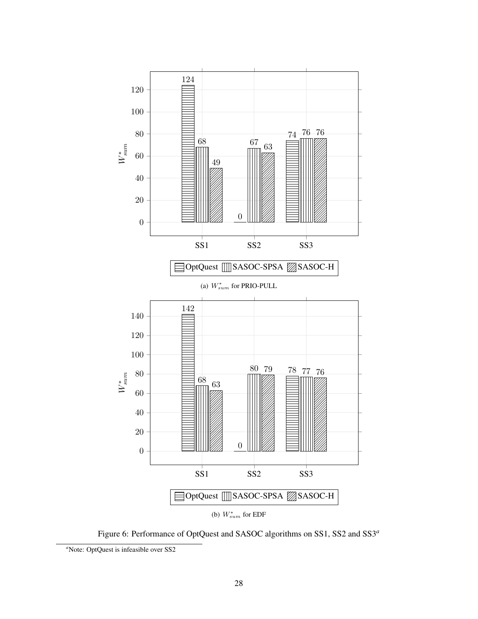

Figure 6: Performance of OptQuest and SASOC algorithms on SS1, SS2 and SS3*<sup>a</sup>*

<sup>&</sup>lt;sup>a</sup>Note: OptQuest is infeasible over SS2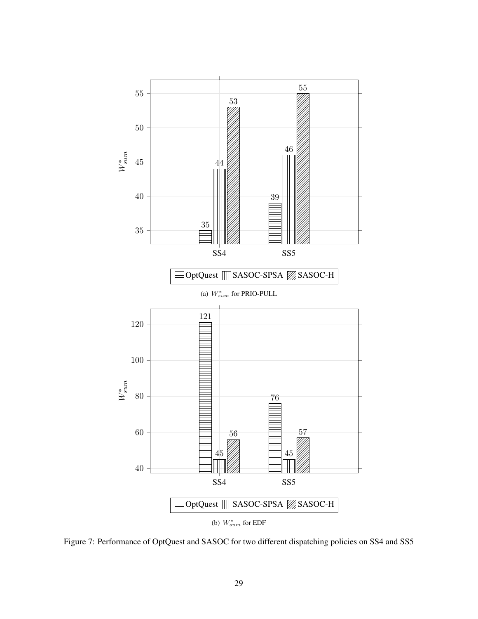

Figure 7: Performance of OptQuest and SASOC for two different dispatching policies on SS4 and SS5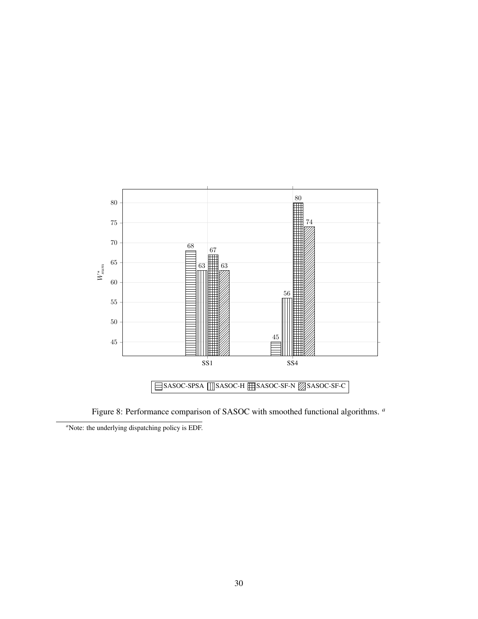

Figure 8: Performance comparison of SASOC with smoothed functional algorithms. *<sup>a</sup>*

<sup>&</sup>lt;sup>*a*</sup>Note: the underlying dispatching policy is EDF.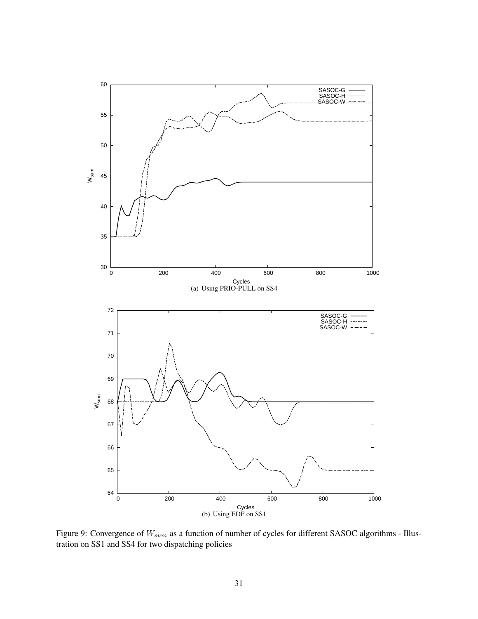

Figure 9: Convergence of  $W_{sum}$  as a function of number of cycles for different SASOC algorithms - Illustration on SS1 and SS4 for two dispatching policies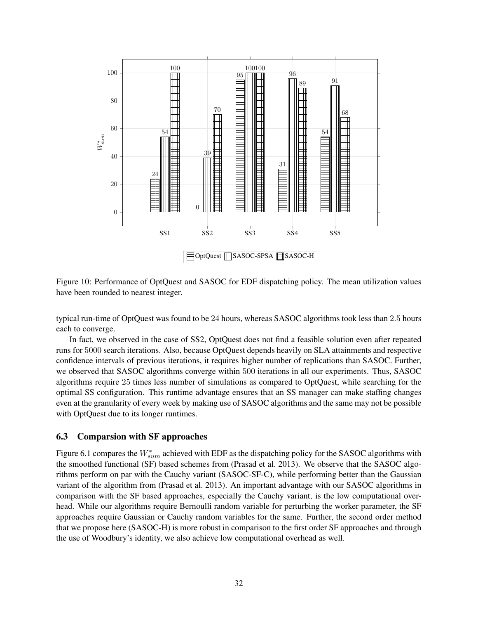

Figure 10: Performance of OptQuest and SASOC for EDF dispatching policy. The mean utilization values have been rounded to nearest integer.

typical run-time of OptQuest was found to be 24 hours, whereas SASOC algorithms took less than 2.5 hours each to converge.

In fact, we observed in the case of SS2, OptQuest does not find a feasible solution even after repeated runs for 5000 search iterations. Also, because OptQuest depends heavily on SLA attainments and respective confidence intervals of previous iterations, it requires higher number of replications than SASOC. Further, we observed that SASOC algorithms converge within 500 iterations in all our experiments. Thus, SASOC algorithms require 25 times less number of simulations as compared to OptQuest, while searching for the optimal SS configuration. This runtime advantage ensures that an SS manager can make staffing changes even at the granularity of every week by making use of SASOC algorithms and the same may not be possible with OptOuest due to its longer runtimes.

### 6.3 Comparsion with SF approaches

Figure 6.1 compares the  $W^*_{sum}$  achieved with EDF as the dispatching policy for the SASOC algorithms with the smoothed functional (SF) based schemes from (Prasad et al. 2013). We observe that the SASOC algorithms perform on par with the Cauchy variant (SASOC-SF-C), while performing better than the Gaussian variant of the algorithm from (Prasad et al. 2013). An important advantage with our SASOC algorithms in comparison with the SF based approaches, especially the Cauchy variant, is the low computational overhead. While our algorithms require Bernoulli random variable for perturbing the worker parameter, the SF approaches require Gaussian or Cauchy random variables for the same. Further, the second order method that we propose here (SASOC-H) is more robust in comparison to the first order SF approaches and through the use of Woodbury's identity, we also achieve low computational overhead as well.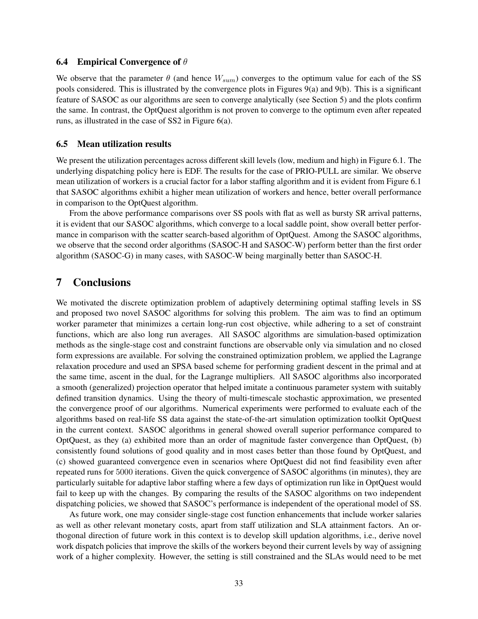#### **6.4** Empirical Convergence of  $\theta$

We observe that the parameter  $\theta$  (and hence  $W_{sum}$ ) converges to the optimum value for each of the SS pools considered. This is illustrated by the convergence plots in Figures 9(a) and 9(b). This is a significant feature of SASOC as our algorithms are seen to converge analytically (see Section 5) and the plots confirm the same. In contrast, the OptQuest algorithm is not proven to converge to the optimum even after repeated runs, as illustrated in the case of SS2 in Figure 6(a).

#### 6.5 Mean utilization results

We present the utilization percentages across different skill levels (low, medium and high) in Figure 6.1. The underlying dispatching policy here is EDF. The results for the case of PRIO-PULL are similar. We observe mean utilization of workers is a crucial factor for a labor staffing algorithm and it is evident from Figure 6.1 that SASOC algorithms exhibit a higher mean utilization of workers and hence, better overall performance in comparison to the OptQuest algorithm.

From the above performance comparisons over SS pools with flat as well as bursty SR arrival patterns, it is evident that our SASOC algorithms, which converge to a local saddle point, show overall better performance in comparison with the scatter search-based algorithm of OptQuest. Among the SASOC algorithms, we observe that the second order algorithms (SASOC-H and SASOC-W) perform better than the first order algorithm (SASOC-G) in many cases, with SASOC-W being marginally better than SASOC-H.

### 7 Conclusions

We motivated the discrete optimization problem of adaptively determining optimal staffing levels in SS and proposed two novel SASOC algorithms for solving this problem. The aim was to find an optimum worker parameter that minimizes a certain long-run cost objective, while adhering to a set of constraint functions, which are also long run averages. All SASOC algorithms are simulation-based optimization methods as the single-stage cost and constraint functions are observable only via simulation and no closed form expressions are available. For solving the constrained optimization problem, we applied the Lagrange relaxation procedure and used an SPSA based scheme for performing gradient descent in the primal and at the same time, ascent in the dual, for the Lagrange multipliers. All SASOC algorithms also incorporated a smooth (generalized) projection operator that helped imitate a continuous parameter system with suitably defined transition dynamics. Using the theory of multi-timescale stochastic approximation, we presented the convergence proof of our algorithms. Numerical experiments were performed to evaluate each of the algorithms based on real-life SS data against the state-of-the-art simulation optimization toolkit OptQuest in the current context. SASOC algorithms in general showed overall superior performance compared to OptQuest, as they (a) exhibited more than an order of magnitude faster convergence than OptQuest, (b) consistently found solutions of good quality and in most cases better than those found by OptQuest, and (c) showed guaranteed convergence even in scenarios where OptQuest did not find feasibility even after repeated runs for 5000 iterations. Given the quick convergence of SASOC algorithms (in minutes), they are particularly suitable for adaptive labor staffing where a few days of optimization run like in OptQuest would fail to keep up with the changes. By comparing the results of the SASOC algorithms on two independent dispatching policies, we showed that SASOC's performance is independent of the operational model of SS.

As future work, one may consider single-stage cost function enhancements that include worker salaries as well as other relevant monetary costs, apart from staff utilization and SLA attainment factors. An orthogonal direction of future work in this context is to develop skill updation algorithms, i.e., derive novel work dispatch policies that improve the skills of the workers beyond their current levels by way of assigning work of a higher complexity. However, the setting is still constrained and the SLAs would need to be met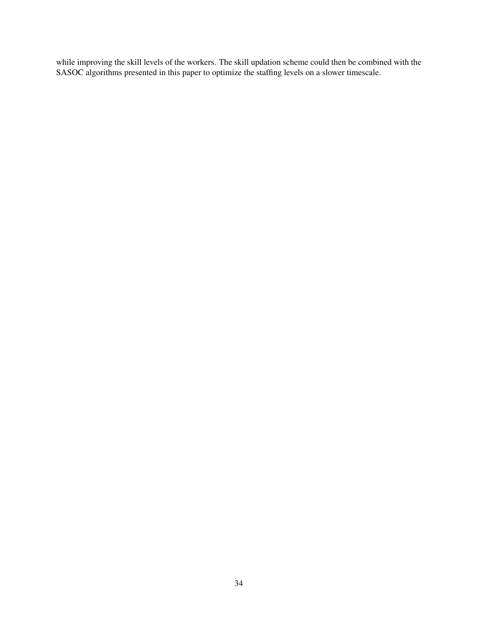while improving the skill levels of the workers. The skill updation scheme could then be combined with the SASOC algorithms presented in this paper to optimize the staffing levels on a slower timescale.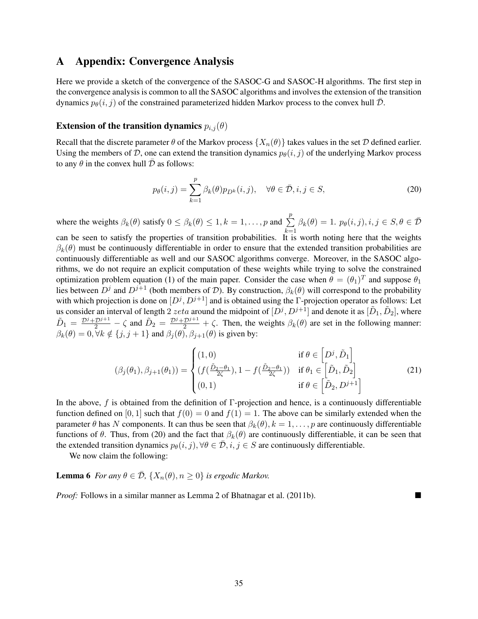### A Appendix: Convergence Analysis

Here we provide a sketch of the convergence of the SASOC-G and SASOC-H algorithms. The first step in the convergence analysis is common to all the SASOC algorithms and involves the extension of the transition dynamics  $p_{\theta}(i, j)$  of the constrained parameterized hidden Markov process to the convex hull D.

### Extension of the transition dynamics  $p_{i,j}(\theta)$

Recall that the discrete parameter  $\theta$  of the Markov process  $\{X_n(\theta)\}\$  takes values in the set  $\mathcal D$  defined earlier. Using the members of D, one can extend the transition dynamics  $p_{\theta}(i, j)$  of the underlying Markov process to any  $\theta$  in the convex hull  $\bar{\mathcal{D}}$  as follows:

$$
p_{\theta}(i,j) = \sum_{k=1}^{p} \beta_k(\theta) p_{D^k}(i,j), \quad \forall \theta \in \bar{\mathcal{D}}, i, j \in S,
$$
\n
$$
(20)
$$

where the weights  $\beta_k(\theta)$  satisfy  $0 \leq \beta_k(\theta) \leq 1, k = 1, \dots, p$  and  $\sum_{k=1}^{p}$  $k=1$  $\beta_k(\theta) = 1. p_{\theta}(i, j), i, j \in S, \theta \in \overline{\mathcal{D}}$ 

can be seen to satisfy the properties of transition probabilities. It is worth noting here that the weights  $\beta_k(\theta)$  must be continuously differentiable in order to ensure that the extended transition probabilities are continuously differentiable as well and our SASOC algorithms converge. Moreover, in the SASOC algorithms, we do not require an explicit computation of these weights while trying to solve the constrained optimization problem equation (1) of the main paper. Consider the case when  $\theta = (\theta_1)^T$  and suppose  $\theta_1$ lies between  $D^j$  and  $D^{j+1}$  (both members of  $D$ ). By construction,  $\beta_k(\theta)$  will correspond to the probability with which projection is done on  $[D^j, D^{j+1}]$  and is obtained using the  $\Gamma$ -projection operator as follows: Let us consider an interval of length 2 *zeta* around the midpoint of  $[D^j, D^{j+1}]$  and denote it as  $[\tilde{D}_1, \tilde{D}_2]$ , where  $\tilde{D}_1 = \frac{\mathcal{D}^j + \mathcal{D}^{j+1}}{2} - \zeta$  and  $\tilde{D}_2 = \frac{\mathcal{D}^j + \mathcal{D}^{j+1}}{2} + \zeta$ . Then, the weights  $\beta_k(\theta)$  are set in the following manner:  $\beta_k(\theta) = 0, \forall k \notin \{j, j + 1\}$  and  $\beta_j(\theta), \beta_{j+1}(\theta)$  is given by:

$$
(\beta_j(\theta_1), \beta_{j+1}(\theta_1)) = \begin{cases} (1,0) & \text{if } \theta \in \left[ D^j, \tilde{D}_1 \right] \\ (f(\frac{\tilde{D}_2 - \theta_1}{2\zeta}), 1 - f(\frac{\tilde{D}_2 - \theta_1}{2\zeta})) & \text{if } \theta_1 \in \left[ \tilde{D}_1, \tilde{D}_2 \right] \\ (0,1) & \text{if } \theta \in \left[ \tilde{D}_2, D^{j+1} \right] \end{cases}
$$
(21)

In the above, f is obtained from the definition of  $\Gamma$ -projection and hence, is a continuously differentiable function defined on [0, 1] such that  $f(0) = 0$  and  $f(1) = 1$ . The above can be similarly extended when the parameter  $\theta$  has N components. It can thus be seen that  $\beta_k(\theta), k = 1, \ldots, p$  are continuously differentiable functions of  $\theta$ . Thus, from (20) and the fact that  $\beta_k(\theta)$  are continuously differentiable, it can be seen that the extended transition dynamics  $p_{\theta}(i, j), \forall \theta \in \overline{\mathcal{D}}, i, j \in S$  are continuously differentiable.

We now claim the following:

**Lemma 6** *For any*  $\theta \in \overline{\mathcal{D}}$ ,  $\{X_n(\theta), n \geq 0\}$  *is ergodic Markov.* 

*Proof:* Follows in a similar manner as Lemma 2 of Bhatnagar et al. (2011b).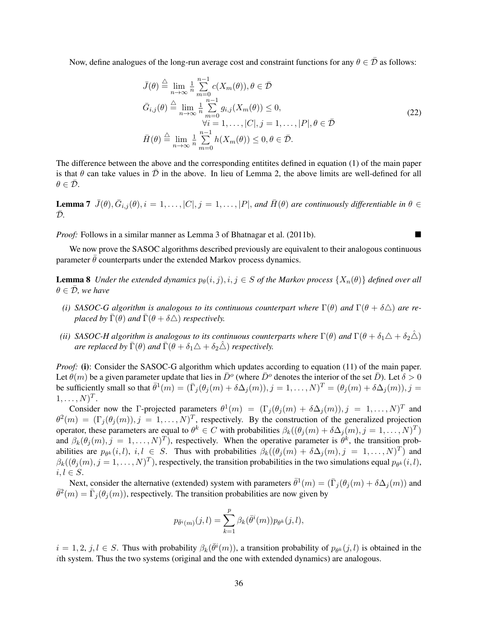Now, define analogues of the long-run average cost and constraint functions for any  $\theta \in \bar{\mathcal{D}}$  as follows:

$$
\bar{J}(\theta) \stackrel{\triangle}{=} \lim_{n \to \infty} \frac{1}{n} \sum_{m=0}^{n-1} c(X_m(\theta)), \theta \in \bar{\mathcal{D}}
$$
\n
$$
\bar{G}_{i,j}(\theta) \stackrel{\triangle}{=} \lim_{n \to \infty} \frac{1}{n} \sum_{m=0}^{n-1} g_{i,j}(X_m(\theta)) \le 0,
$$
\n
$$
\forall i = 1, ..., |C|, j = 1, ..., |P|, \theta \in \bar{\mathcal{D}}
$$
\n
$$
\bar{H}(\theta) \stackrel{\triangle}{=} \lim_{n \to \infty} \frac{1}{n} \sum_{m=0}^{n-1} h(X_m(\theta)) \le 0, \theta \in \bar{\mathcal{D}}.
$$
\n(22)

The difference between the above and the corresponding entitites defined in equation (1) of the main paper is that  $\theta$  can take values in  $\bar{\mathcal{D}}$  in the above. In lieu of Lemma 2, the above limits are well-defined for all  $\theta \in \bar{\mathcal{D}}$ .

**Lemma 7**  $\bar{J}(\theta), \bar{G}_{i,j}(\theta), i = 1, \ldots, |C|, j = 1, \ldots, |P|$ , and  $\bar{H}(\theta)$  are continuously differentiable in  $\theta \in$  $\bar{\mathcal{D}}$ .

*Proof:* Follows in a similar manner as Lemma 3 of Bhatnagar et al. (2011b).

We now prove the SASOC algorithms described previously are equivalent to their analogous continuous parameter  $\theta$  counterparts under the extended Markov process dynamics.

**Lemma 8** *Under the extended dynamics*  $p_{\theta}(i, j), i, j \in S$  *of the Markov process*  $\{X_n(\theta)\}\$  *defined over all*  $\theta \in \bar{\mathcal{D}}$ *, we have* 

- *(i)* SASOC-G algorithm is analogous to its continuous counterpart where  $\Gamma(\theta)$  and  $\Gamma(\theta + \delta \Delta)$  are re*placed by*  $\bar{\Gamma}(\theta)$  *and*  $\bar{\Gamma}(\theta + \delta \triangle)$  *respectively.*
- *(ii)* SASOC-H algorithm is analogous to its continuous counterparts where  $\Gamma(\theta)$  and  $\Gamma(\theta + \delta_1 \Delta + \delta_2 \hat{\Delta})$ *are replaced by*  $\bar{\Gamma}(\theta)$  *and*  $\bar{\Gamma}(\theta + \delta_1 \Delta + \delta_2 \hat{\Delta})$  *respectively.*

*Proof:* (i): Consider the SASOC-G algorithm which updates according to equation (11) of the main paper. Let  $\theta(m)$  be a given parameter update that lies in  $\bar{D}^o$  (where  $\bar{D}^o$  denotes the interior of the set  $\bar{D}$ ). Let  $\delta > 0$ be sufficiently small so that  $\bar{\theta}^1(m) = (\bar{\Gamma}_j(\theta_j(m) + \delta \Delta_j(m)), j = 1, \ldots, N)^T = (\theta_j(m) + \delta \Delta_j(m)), j = 1, \ldots, N)^T$  $1, \ldots, N)^T$ .

Consider now the Γ-projected parameters  $\theta^1(m) = (\Gamma_j(\theta_j(m) + \delta\Delta_j(m)), j = 1, \ldots, N)^T$  and  $\theta^2(m) = (\Gamma_j(\theta_j(m)), j = 1, \dots, N)^T$ , respectively. By the construction of the generalized projection operator, these parameters are equal to  $\theta^k \in C$  with probabilities  $\beta_k((\theta_j(m) + \delta\Delta_j(m), j = 1, ..., N)^T)$ and  $\beta_k(\theta_j(m), j = 1, \dots, N)^T$ ), respectively. When the operative parameter is  $\theta^k$ , the transition probabilities are  $p_{\theta^k}(i, l)$ ,  $i, l \in S$ . Thus with probabilities  $\beta_k((\theta_j(m) + \delta \Delta_j(m), j = 1, ..., N)^T)$  and  $\beta_k((\theta_j(m), j = 1, \dots, N)^T)$ , respectively, the transition probabilities in the two simulations equal  $p_{\theta^k}(i, l)$ ,  $i, l \in S$ .

Next, consider the alternative (extended) system with parameters  $\bar{\theta}^1(m) = (\bar{\Gamma}_j(\theta_j(m) + \delta \Delta_j(m))$  and  $\bar{\theta}^2(m) = \bar{\Gamma}_j(\theta_j(m))$ , respectively. The transition probabilities are now given by

$$
p_{\bar{\theta}^i(m)}(j,l) = \sum_{k=1}^p \beta_k(\bar{\theta}^i(m)) p_{\theta^k}(j,l),
$$

 $i = 1, 2, j, l \in S$ . Thus with probability  $\beta_k(\bar{\theta}^i(m))$ , a transition probability of  $p_{\theta^k}(j, l)$  is obtained in the ith system. Thus the two systems (original and the one with extended dynamics) are analogous.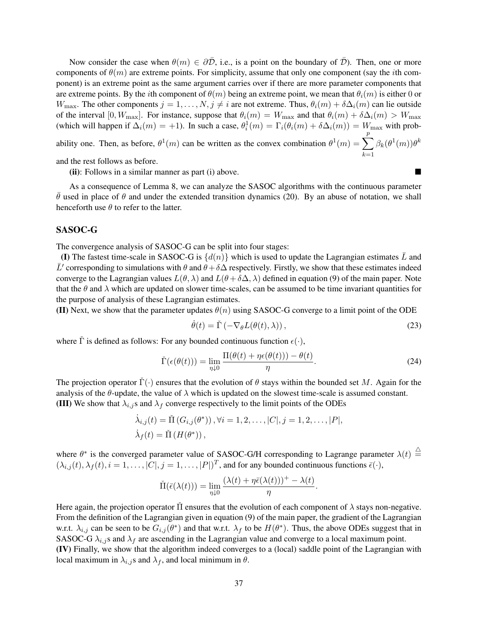Now consider the case when  $\theta(m) \in \partial \overline{\mathcal{D}}$ , i.e., is a point on the boundary of  $\overline{\mathcal{D}}$ ). Then, one or more components of  $\theta(m)$  are extreme points. For simplicity, assume that only one component (say the *i*th component) is an extreme point as the same argument carries over if there are more parameter components that are extreme points. By the *i*th component of  $\theta(m)$  being an extreme point, we mean that  $\theta_i(m)$  is either 0 or  $W_{\text{max}}$ . The other components  $j = 1, \ldots, N, j \neq i$  are not extreme. Thus,  $\theta_i(m) + \delta \Delta_i(m)$  can lie outside of the interval [0,  $W_{\text{max}}$ ]. For instance, suppose that  $\theta_i(m) = W_{\text{max}}$  and that  $\theta_i(m) + \delta \Delta_i(m) > W_{\text{max}}$ (which will happen if  $\Delta_i(m) = +1$ ). In such a case,  $\theta_i^1(m) = \Gamma_i(\theta_i(m) + \delta \Delta_i(m)) = W_{\text{max}}$  with probability one. Then, as before,  $\theta^1(m)$  can be written as the convex combination  $\theta^1(m) = \sum_{n=1}^p$  $_{k=1}$  $\beta_k(\theta^1(m))\theta^k$ 

and the rest follows as before.

(ii): Follows in a similar manner as part (i) above.

As a consequence of Lemma 8, we can analyze the SASOC algorithms with the continuous parameter  $\theta$  used in place of  $\theta$  and under the extended transition dynamics (20). By an abuse of notation, we shall henceforth use  $\theta$  to refer to the latter.

### SASOC-G

The convergence analysis of SASOC-G can be split into four stages:

(I) The fastest time-scale in SASOC-G is  $\{d(n)\}\$  which is used to update the Lagrangian estimates  $\bar{L}$  and  $\bar{L}'$  corresponding to simulations with  $\theta$  and  $\theta + \delta \Delta$  respectively. Firstly, we show that these estimates indeed converge to the Lagrangian values  $L(\theta, \lambda)$  and  $L(\theta + \delta \Delta, \lambda)$  defined in equation (9) of the main paper. Note that the  $\theta$  and  $\lambda$  which are updated on slower time-scales, can be assumed to be time invariant quantities for the purpose of analysis of these Lagrangian estimates.

(II) Next, we show that the parameter updates  $\theta(n)$  using SASOC-G converge to a limit point of the ODE

$$
\dot{\theta}(t) = \check{\Gamma}(-\nabla_{\theta}L(\theta(t), \lambda)), \qquad (23)
$$

where  $\check{\Gamma}$  is defined as follows: For any bounded continuous function  $\epsilon(\cdot)$ ,

$$
\check{\Gamma}(\epsilon(\theta(t))) = \lim_{\eta \downarrow 0} \frac{\Pi(\theta(t) + \eta \epsilon(\theta(t))) - \theta(t)}{\eta}.
$$
\n(24)

The projection operator  $\check{\Gamma}(\cdot)$  ensures that the evolution of  $\theta$  stays within the bounded set M. Again for the analysis of the  $\theta$ -update, the value of  $\lambda$  which is updated on the slowest time-scale is assumed constant. (III) We show that  $\lambda_{i,j}$ s and  $\lambda_f$  converge respectively to the limit points of the ODEs

$$
\dot{\lambda}_{i,j}(t) = \tilde{\Pi}(G_{i,j}(\theta^*)), \forall i = 1, 2, \dots, |C|, j = 1, 2, \dots, |P|,
$$
  

$$
\dot{\lambda}_f(t) = \tilde{\Pi}(H(\theta^*)),
$$

where  $\theta^*$  is the converged parameter value of SASOC-G/H corresponding to Lagrange parameter  $\lambda(t) \stackrel{\triangle}{=}$  $(\lambda_{i,j}(t), \lambda_f(t), i = 1, \ldots, |C|, j = 1, \ldots, |P|)^T$ , and for any bounded continuous functions  $\bar{\epsilon}(\cdot)$ ,

$$
\check{\Pi}(\bar{\epsilon}(\lambda(t))) = \lim_{\eta \downarrow 0} \frac{(\lambda(t) + \eta \bar{\epsilon}(\lambda(t)))^+ - \lambda(t)}{\eta}.
$$

Here again, the projection operator  $\dot{\Pi}$  ensures that the evolution of each component of  $\lambda$  stays non-negative. From the definition of the Lagrangian given in equation (9) of the main paper, the gradient of the Lagrangian w.r.t.  $\lambda_{i,j}$  can be seen to be  $G_{i,j}(\theta^*)$  and that w.r.t.  $\lambda_f$  to be  $H(\theta^*)$ . Thus, the above ODEs suggest that in SASOC-G  $\lambda_{i,j}$ s and  $\lambda_f$  are ascending in the Lagrangian value and converge to a local maximum point. (IV) Finally, we show that the algorithm indeed converges to a (local) saddle point of the Lagrangian with local maximum in  $\lambda_{i,j}$ s and  $\lambda_f$ , and local minimum in  $\theta$ .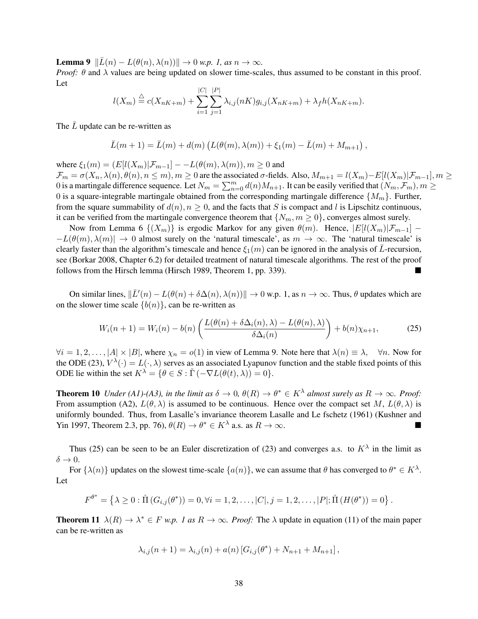**Lemma 9**  $\Vert \bar{L}(n) - L(\theta(n), \lambda(n)) \Vert \to 0$  *w.p.* 1, as  $n \to \infty$ .

*Proof:*  $\theta$  and  $\lambda$  values are being updated on slower time-scales, thus assumed to be constant in this proof. Let

$$
l(X_m) \stackrel{\triangle}{=} c(X_{nK+m}) + \sum_{i=1}^{|C|} \sum_{j=1}^{|P|} \lambda_{i,j}(nK)g_{i,j}(X_{nK+m}) + \lambda_f h(X_{nK+m}).
$$

The  $\bar{L}$  update can be re-written as

$$
\bar{L}(m+1) = \bar{L}(m) + d(m) (L(\theta(m), \lambda(m)) + \xi_1(m) - \bar{L}(m) + M_{m+1}),
$$

where  $\xi_1(m) = (E[l(X_m)|\mathcal{F}_{m-1}]-L(\theta(m),\lambda(m)), m \ge 0$  and  $\mathcal{F}_m = \sigma(X_n, \lambda(n), \theta(n), n \leq m), m \geq 0$  are the associated  $\sigma$ -fields. Also,  $M_{m+1} = l(X_m) - E[l(X_m)|\mathcal{F}_{m-1}], m \geq 0$ 0 is a martingale difference sequence. Let  $N_m = \sum_{n=0}^m d(n)M_{n+1}$ . It can be easily verified that  $(N_m, \mathcal{F}_m), m \geq 0$ 0 is a square-integrable martingale obtained from the corresponding martingale difference  $\{M_m\}$ . Further, from the square summability of  $d(n)$ ,  $n \geq 0$ , and the facts that S is compact and l is Lipschitz continuous, it can be verified from the martingale convergence theorem that  $\{N_m, m \geq 0\}$ , converges almost surely.

Now from Lemma 6  $\{(X_m)\}\$ is ergodic Markov for any given  $\theta(m)$ . Hence,  $|E[(X_m)|\mathcal{F}_{m-1}]$  –  $-L(\theta(m), \lambda(m)) \to 0$  almost surely on the 'natural timescale', as  $m \to \infty$ . The 'natural timescale' is clearly faster than the algorithm's timescale and hence  $\xi_1(m)$  can be ignored in the analysis of  $\bar{L}$ -recursion, see (Borkar 2008, Chapter 6.2) for detailed treatment of natural timescale algorithms. The rest of the proof follows from the Hirsch lemma (Hirsch 1989, Theorem 1, pp. 339).

On similar lines,  $\|\bar{L}'(n) - L(\theta(n) + \delta \Delta(n), \lambda(n))\| \to 0$  w.p. 1, as  $n \to \infty$ . Thus,  $\theta$  updates which are on the slower time scale  $\{b(n)\}\)$ , can be re-written as

$$
W_i(n+1) = W_i(n) - b(n) \left( \frac{L(\theta(n) + \delta \Delta_i(n), \lambda) - L(\theta(n), \lambda)}{\delta \Delta_i(n)} \right) + b(n) \chi_{n+1}, \tag{25}
$$

 $\forall i = 1, 2, \ldots, |A| \times |B|$ , where  $\chi_n = o(1)$  in view of Lemma 9. Note here that  $\lambda(n) \equiv \lambda$ ,  $\forall n$ . Now for the ODE (23),  $V^{\lambda}(\cdot) = L(\cdot, \lambda)$  serves as an associated Lyapunov function and the stable fixed points of this ODE lie within the set  $K^{\lambda} = \{ \theta \in S : \check{\Gamma}(-\nabla L(\theta(t), \lambda)) = 0 \}.$ 

**Theorem 10** *Under* (A1)-(A3), in the limit as  $\delta \to 0$ ,  $\theta(R) \to \theta^* \in K^{\lambda}$  almost surely as  $R \to \infty$ . Proof: From assumption (A2),  $L(\theta, \lambda)$  is assumed to be continuous. Hence over the compact set M,  $L(\theta, \lambda)$  is uniformly bounded. Thus, from Lasalle's invariance theorem Lasalle and Le fschetz (1961) (Kushner and Yin 1997, Theorem 2.3, pp. 76),  $\theta(R) \to \theta^* \in K^{\lambda}$  a.s. as  $R \to \infty$ .

Thus (25) can be seen to be an Euler discretization of (23) and converges a.s. to  $K^{\lambda}$  in the limit as  $\delta \rightarrow 0.$ 

For  $\{\lambda(n)\}\$  updates on the slowest time-scale  $\{a(n)\}\$ , we can assume that  $\theta$  has converged to  $\theta^* \in K^{\lambda}$ . Let

$$
F^{\theta^*} = \left\{ \lambda \geq 0 : \check{\Pi} \left( G_{i,j}(\theta^*) \right) = 0, \forall i = 1, 2, \dots, |C|, j = 1, 2, \dots, |P|; \check{\Pi} \left( H(\theta^*) \right) = 0 \right\}.
$$

**Theorem 11**  $\lambda(R) \to \lambda^* \in F$  *w.p. 1 as*  $R \to \infty$ *. Proof:* The  $\lambda$  update in equation (11) of the main paper can be re-written as

$$
\lambda_{i,j}(n+1) = \lambda_{i,j}(n) + a(n) [G_{i,j}(\theta^*) + N_{n+1} + M_{n+1}],
$$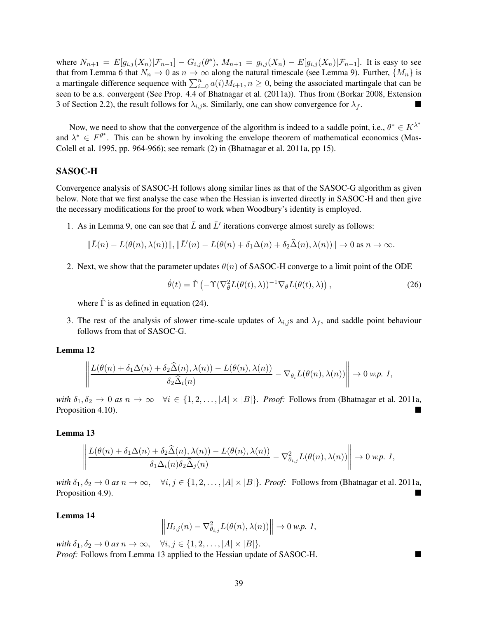where  $N_{n+1} = E[g_{i,j}(X_n)|\mathcal{F}_{n-1}] - G_{i,j}(\theta^*)$ ,  $M_{n+1} = g_{i,j}(X_n) - E[g_{i,j}(X_n)|\mathcal{F}_{n-1}]$ . It is easy to see that from Lemma 6 that  $N_n \to 0$  as  $n \to \infty$  along the natural timescale (see Lemma 9). Further,  $\{M_n\}$  is a martingale difference sequence with  $\sum_{i=0}^{n} a(i)M_{i+1}$ ,  $n \ge 0$ , being the associated martingale that can be seen to be a.s. convergent (See Prop. 4.4 of Bhatnagar et al. (2011a)). Thus from (Borkar 2008, Extension 3 of Section 2.2), the result follows for  $\lambda_{i,j}$  s. Similarly, one can show convergence for  $\lambda_f$ .

Now, we need to show that the convergence of the algorithm is indeed to a saddle point, i.e.,  $\theta^* \in K^{\lambda^*}$ and  $\lambda^* \in F^{\theta^*}$ . This can be shown by invoking the envelope theorem of mathematical economics (Mas-Colell et al. 1995, pp. 964-966); see remark (2) in (Bhatnagar et al. 2011a, pp 15).

### SASOC-H

Convergence analysis of SASOC-H follows along similar lines as that of the SASOC-G algorithm as given below. Note that we first analyse the case when the Hessian is inverted directly in SASOC-H and then give the necessary modifications for the proof to work when Woodbury's identity is employed.

1. As in Lemma 9, one can see that  $\bar{L}$  and  $\bar{L}'$  iterations converge almost surely as follows:

$$
\|\bar{L}(n) - L(\theta(n), \lambda(n))\|, \|\bar{L}'(n) - L(\theta(n) + \delta_1 \Delta(n) + \delta_2 \widehat{\Delta}(n), \lambda(n))\| \to 0 \text{ as } n \to \infty.
$$

2. Next, we show that the parameter updates  $\theta(n)$  of SASOC-H converge to a limit point of the ODE

$$
\dot{\theta}(t) = \check{\Gamma}\left(-\Upsilon(\nabla_{\theta}^{2}L(\theta(t),\lambda))^{-1}\nabla_{\theta}L(\theta(t),\lambda)\right),\tag{26}
$$

where  $\check{\Gamma}$  is as defined in equation (24).

3. The rest of the analysis of slower time-scale updates of  $\lambda_{i,j}$  and  $\lambda_f$ , and saddle point behaviour follows from that of SASOC-G.

#### Lemma 12

$$
\left\|\frac{L(\theta(n)+\delta_1\Delta(n)+\delta_2\widehat{\Delta}(n),\lambda(n))-L(\theta(n),\lambda(n))}{\delta_2\widehat{\Delta}_i(n)}-\nabla_{\theta_i}L(\theta(n),\lambda(n))\right\|\to 0\text{ w.p. 1,}
$$

*with*  $\delta_1, \delta_2 \to 0$  *as*  $n \to \infty$   $\forall i \in \{1, 2, ..., |A| \times |B|\}$ *. Proof:* Follows from (Bhatnagar et al. 2011a, Proposition 4.10).

#### Lemma 13

$$
\left\|\frac{L(\theta(n)+\delta_1\Delta(n)+\delta_2\widehat{\Delta}(n),\lambda(n))-L(\theta(n),\lambda(n))}{\delta_1\Delta_i(n)\delta_2\widehat{\Delta}_j(n)}-\nabla^2_{\theta_{i,j}}L(\theta(n),\lambda(n))\right\|\to 0\text{ w.p. }I,
$$

*with*  $\delta_1, \delta_2 \to 0$  *as*  $n \to \infty$ ,  $\forall i, j \in \{1, 2, ..., |A| \times |B|\}$ *. Proof:* Follows from (Bhatnagar et al. 2011a, Proposition 4.9).

#### Lemma 14

$$
\left\| H_{i,j}(n) - \nabla_{\theta_{i,j}}^2 L(\theta(n), \lambda(n)) \right\| \to 0 \text{ w.p. } 1,
$$

*with*  $\delta_1, \delta_2 \to 0$  *as*  $n \to \infty$ ,  $\forall i, j \in \{1, 2, \ldots, |A| \times |B|\}.$ *Proof:* Follows from Lemma 13 applied to the Hessian update of SASOC-H. ■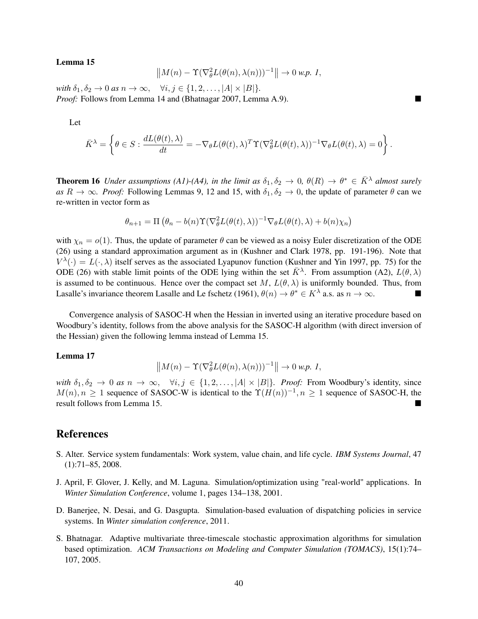#### Lemma 15

$$
\left\|M(n)-\Upsilon(\nabla^2_\theta L(\theta(n),\lambda(n)))^{-1}\right\|\to 0\text{ w.p. }I,
$$

*with*  $\delta_1, \delta_2 \to 0$  *as*  $n \to \infty$ ,  $\forall i, j \in \{1, 2, \ldots, |A| \times |B|\}.$ *Proof:* Follows from Lemma 14 and (Bhatnagar 2007, Lemma A.9).

Let

$$
\bar{K}^{\lambda} = \left\{ \theta \in S : \frac{dL(\theta(t), \lambda)}{dt} = -\nabla_{\theta} L(\theta(t), \lambda)^{T} \Upsilon (\nabla_{\theta}^{2} L(\theta(t), \lambda))^{-1} \nabla_{\theta} L(\theta(t), \lambda) = 0 \right\}.
$$

**Theorem 16** *Under assumptions (A1)-(A4), in the limit as*  $\delta_1, \delta_2 \to 0$ ,  $\theta(R) \to \theta^* \in \overline{K}^{\lambda}$  *almost surely*  $as R \to \infty$ *. Proof:* Following Lemmas 9, 12 and 15, with  $\delta_1, \delta_2 \to 0$ , the update of parameter  $\theta$  can we re-written in vector form as

$$
\theta_{n+1} = \Pi \left( \theta_n - b(n) \Upsilon (\nabla_{\theta}^2 L(\theta(t), \lambda))^{-1} \nabla_{\theta} L(\theta(t), \lambda) + b(n) \chi_n \right)
$$

with  $\chi_n = o(1)$ . Thus, the update of parameter  $\theta$  can be viewed as a noisy Euler discretization of the ODE (26) using a standard approximation argument as in (Kushner and Clark 1978, pp. 191-196). Note that  $V^{\lambda}(\cdot) = L(\cdot, \lambda)$  itself serves as the associated Lyapunov function (Kushner and Yin 1997, pp. 75) for the ODE (26) with stable limit points of the ODE lying within the set  $\bar{K}^{\lambda}$ . From assumption (A2),  $L(\theta, \lambda)$ is assumed to be continuous. Hence over the compact set M,  $L(\theta, \lambda)$  is uniformly bounded. Thus, from Lasalle's invariance theorem Lasalle and Le fschetz (1961),  $\theta(n) \to \theta^* \in K^{\lambda}$  a.s. as  $n \to \infty$ .

Convergence analysis of SASOC-H when the Hessian in inverted using an iterative procedure based on Woodbury's identity, follows from the above analysis for the SASOC-H algorithm (with direct inversion of the Hessian) given the following lemma instead of Lemma 15.

#### Lemma 17

$$
\left\|M(n) - \Upsilon(\nabla_{\theta}^2 L(\theta(n), \lambda(n)))^{-1}\right\| \to 0 \text{ w.p. } 1,
$$

*with*  $\delta_1, \delta_2 \to 0$  *as*  $n \to \infty$ ,  $\forall i, j \in \{1, 2, \ldots, |A| \times |B|\}$ *. Proof:* From Woodbury's identity, since  $M(n), n \geq 1$  sequence of SASOC-W is identical to the  $\Upsilon(H(n))^{-1}, n \geq 1$  sequence of SASOC-H, the result follows from Lemma 15.

### References

- S. Alter. Service system fundamentals: Work system, value chain, and life cycle. *IBM Systems Journal*, 47 (1):71–85, 2008.
- J. April, F. Glover, J. Kelly, and M. Laguna. Simulation/optimization using "real-world" applications. In *Winter Simulation Conference*, volume 1, pages 134–138, 2001.
- D. Banerjee, N. Desai, and G. Dasgupta. Simulation-based evaluation of dispatching policies in service systems. In *Winter simulation conference*, 2011.
- S. Bhatnagar. Adaptive multivariate three-timescale stochastic approximation algorithms for simulation based optimization. *ACM Transactions on Modeling and Computer Simulation (TOMACS)*, 15(1):74– 107, 2005.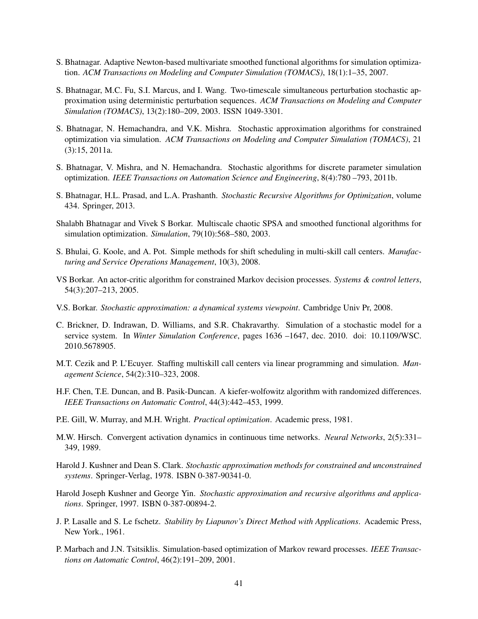- S. Bhatnagar. Adaptive Newton-based multivariate smoothed functional algorithms for simulation optimization. *ACM Transactions on Modeling and Computer Simulation (TOMACS)*, 18(1):1–35, 2007.
- S. Bhatnagar, M.C. Fu, S.I. Marcus, and I. Wang. Two-timescale simultaneous perturbation stochastic approximation using deterministic perturbation sequences. *ACM Transactions on Modeling and Computer Simulation (TOMACS)*, 13(2):180–209, 2003. ISSN 1049-3301.
- S. Bhatnagar, N. Hemachandra, and V.K. Mishra. Stochastic approximation algorithms for constrained optimization via simulation. *ACM Transactions on Modeling and Computer Simulation (TOMACS)*, 21 (3):15, 2011a.
- S. Bhatnagar, V. Mishra, and N. Hemachandra. Stochastic algorithms for discrete parameter simulation optimization. *IEEE Transactions on Automation Science and Engineering*, 8(4):780 –793, 2011b.
- S. Bhatnagar, H.L. Prasad, and L.A. Prashanth. *Stochastic Recursive Algorithms for Optimization*, volume 434. Springer, 2013.
- Shalabh Bhatnagar and Vivek S Borkar. Multiscale chaotic SPSA and smoothed functional algorithms for simulation optimization. *Simulation*, 79(10):568–580, 2003.
- S. Bhulai, G. Koole, and A. Pot. Simple methods for shift scheduling in multi-skill call centers. *Manufacturing and Service Operations Management*, 10(3), 2008.
- VS Borkar. An actor-critic algorithm for constrained Markov decision processes. *Systems & control letters*, 54(3):207–213, 2005.
- V.S. Borkar. *Stochastic approximation: a dynamical systems viewpoint*. Cambridge Univ Pr, 2008.
- C. Brickner, D. Indrawan, D. Williams, and S.R. Chakravarthy. Simulation of a stochastic model for a service system. In *Winter Simulation Conference*, pages 1636 –1647, dec. 2010. doi: 10.1109/WSC. 2010.5678905.
- M.T. Cezik and P. L'Ecuyer. Staffing multiskill call centers via linear programming and simulation. *Management Science*, 54(2):310–323, 2008.
- H.F. Chen, T.E. Duncan, and B. Pasik-Duncan. A kiefer-wolfowitz algorithm with randomized differences. *IEEE Transactions on Automatic Control*, 44(3):442–453, 1999.
- P.E. Gill, W. Murray, and M.H. Wright. *Practical optimization*. Academic press, 1981.
- M.W. Hirsch. Convergent activation dynamics in continuous time networks. *Neural Networks*, 2(5):331– 349, 1989.
- Harold J. Kushner and Dean S. Clark. *Stochastic approximation methods for constrained and unconstrained systems*. Springer-Verlag, 1978. ISBN 0-387-90341-0.
- Harold Joseph Kushner and George Yin. *Stochastic approximation and recursive algorithms and applications*. Springer, 1997. ISBN 0-387-00894-2.
- J. P. Lasalle and S. Le fschetz. *Stability by Liapunov's Direct Method with Applications*. Academic Press, New York., 1961.
- P. Marbach and J.N. Tsitsiklis. Simulation-based optimization of Markov reward processes. *IEEE Transactions on Automatic Control*, 46(2):191–209, 2001.